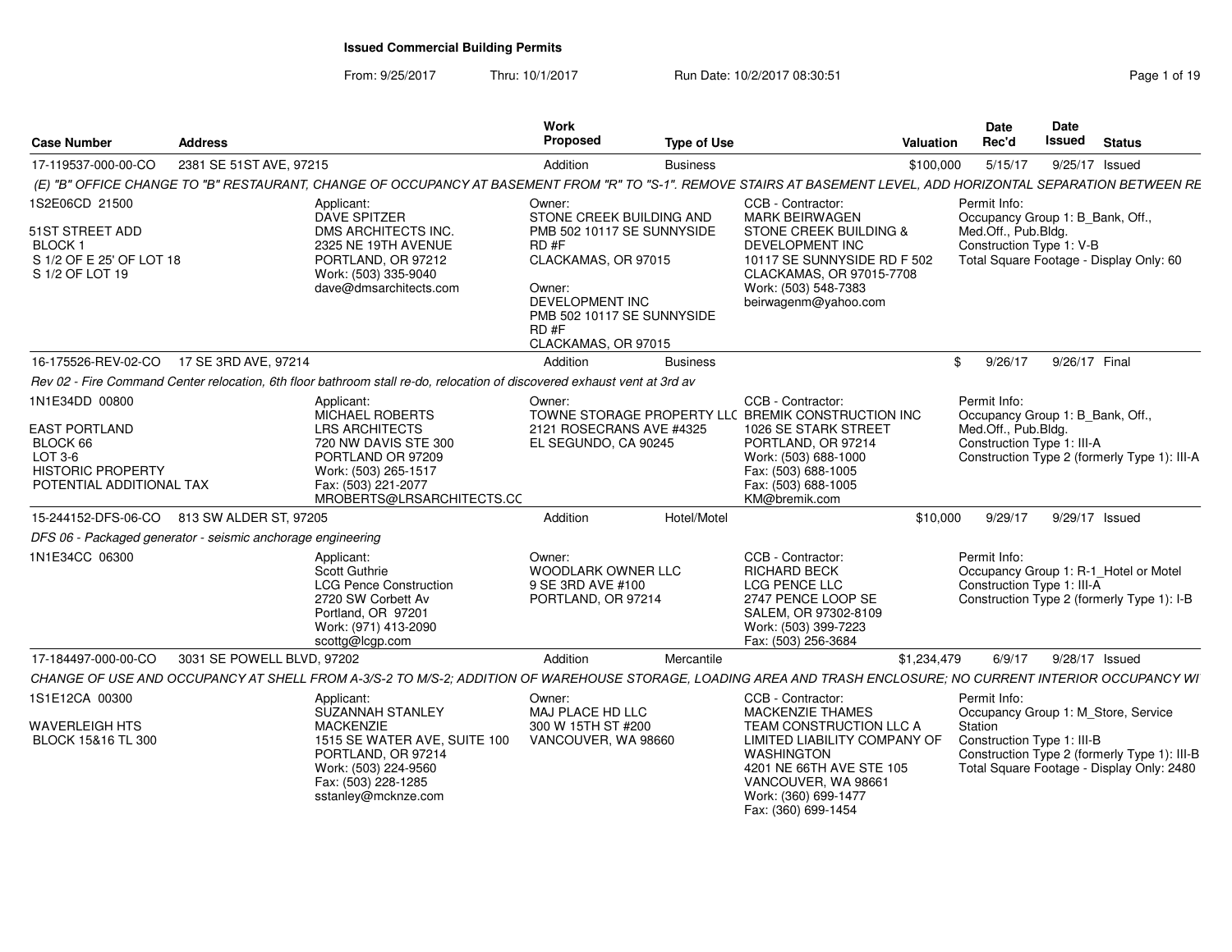From: 9/25/2017Thru: 10/1/2017 **Run Date: 10/2/2017 08:30:51 Page 1 of 19** Page 1 of 19

| <b>Case Number</b>                                                                                                    | <b>Address</b>             |                                                                                                                                                                                        | Work<br><b>Proposed</b>                                                                    | <b>Type of Use</b>                                       | Valuation                                                                                                                                                                                                    |                                                                                            | <b>Date</b><br>Rec'd                                                                                  | Date<br>Issued | <b>Status</b>                                                                             |
|-----------------------------------------------------------------------------------------------------------------------|----------------------------|----------------------------------------------------------------------------------------------------------------------------------------------------------------------------------------|--------------------------------------------------------------------------------------------|----------------------------------------------------------|--------------------------------------------------------------------------------------------------------------------------------------------------------------------------------------------------------------|--------------------------------------------------------------------------------------------|-------------------------------------------------------------------------------------------------------|----------------|-------------------------------------------------------------------------------------------|
| 17-119537-000-00-CO                                                                                                   | 2381 SE 51ST AVE, 97215    |                                                                                                                                                                                        | Addition                                                                                   | <b>Business</b>                                          |                                                                                                                                                                                                              | \$100,000                                                                                  | 5/15/17                                                                                               | 9/25/17 Issued |                                                                                           |
|                                                                                                                       |                            | (E) "B" OFFICE CHANGE TO "B" RESTAURANT, CHANGE OF OCCUPANCY AT BASEMENT FROM "R" TO "S-1". REMOVE STAIRS AT BASEMENT LEVEL, ADD HORIZONTAL SEPARATION BETWEEN RE                      |                                                                                            |                                                          |                                                                                                                                                                                                              |                                                                                            |                                                                                                       |                |                                                                                           |
| 1S2E06CD 21500                                                                                                        |                            | Applicant:<br><b>DAVE SPITZER</b>                                                                                                                                                      | Owner:                                                                                     | STONE CREEK BUILDING AND                                 | CCB - Contractor:<br><b>MARK BEIRWAGEN</b>                                                                                                                                                                   |                                                                                            | Permit Info:<br>Occupancy Group 1: B_Bank, Off.,                                                      |                |                                                                                           |
| 51ST STREET ADD<br><b>BLOCK1</b><br>S 1/2 OF E 25' OF LOT 18<br>S 1/2 OF LOT 19                                       |                            | DMS ARCHITECTS INC.<br>2325 NE 19TH AVENUE<br>PORTLAND, OR 97212<br>Work: (503) 335-9040<br>dave@dmsarchitects.com                                                                     | $RD$ #F<br>CLACKAMAS, OR 97015<br>Owner:<br>DEVELOPMENT INC<br>RD#F<br>CLACKAMAS, OR 97015 | PMB 502 10117 SE SUNNYSIDE<br>PMB 502 10117 SE SUNNYSIDE | <b>STONE CREEK BUILDING &amp;</b><br><b>DEVELOPMENT INC</b><br>10117 SE SUNNYSIDE RD F 502<br>CLACKAMAS, OR 97015-7708<br>Work: (503) 548-7383<br>beirwagenm@yahoo.com                                       | Med.Off., Pub.Bldg.<br>Construction Type 1: V-B<br>Total Square Footage - Display Only: 60 |                                                                                                       |                |                                                                                           |
| 16-175526-REV-02-CO                                                                                                   | 17 SE 3RD AVE, 97214       |                                                                                                                                                                                        | Addition                                                                                   | <b>Business</b>                                          |                                                                                                                                                                                                              | \$                                                                                         | 9/26/17                                                                                               | 9/26/17 Final  |                                                                                           |
|                                                                                                                       |                            | Rev 02 - Fire Command Center relocation, 6th floor bathroom stall re-do, relocation of discovered exhaust vent at 3rd av                                                               |                                                                                            |                                                          |                                                                                                                                                                                                              |                                                                                            |                                                                                                       |                |                                                                                           |
| 1N1E34DD 00800<br><b>EAST PORTLAND</b><br>BLOCK 66<br>LOT 3-6<br><b>HISTORIC PROPERTY</b><br>POTENTIAL ADDITIONAL TAX |                            | Applicant:<br><b>MICHAEL ROBERTS</b><br><b>LRS ARCHITECTS</b><br>720 NW DAVIS STE 300<br>PORTLAND OR 97209<br>Work: (503) 265-1517<br>Fax: (503) 221-2077<br>MROBERTS@LRSARCHITECTS.CC | Owner:<br>EL SEGUNDO, CA 90245                                                             | 2121 ROSECRANS AVE #4325                                 | CCB - Contractor:<br>TOWNE STORAGE PROPERTY LLC BREMIK CONSTRUCTION INC<br>1026 SE STARK STREET<br>PORTLAND, OR 97214<br>Work: (503) 688-1000<br>Fax: (503) 688-1005<br>Fax: (503) 688-1005<br>KM@bremik.com |                                                                                            | Permit Info:<br>Occupancy Group 1: B_Bank, Off.,<br>Med.Off., Pub.Bldg.<br>Construction Type 1: III-A |                | Construction Type 2 (formerly Type 1): III-A                                              |
| 15-244152-DFS-06-CO 813 SW ALDER ST, 97205                                                                            |                            |                                                                                                                                                                                        | Addition                                                                                   | Hotel/Motel                                              |                                                                                                                                                                                                              | \$10,000                                                                                   | 9/29/17                                                                                               | 9/29/17 Issued |                                                                                           |
| DFS 06 - Packaged generator - seismic anchorage engineering                                                           |                            |                                                                                                                                                                                        |                                                                                            |                                                          |                                                                                                                                                                                                              |                                                                                            |                                                                                                       |                |                                                                                           |
| 1N1E34CC 06300                                                                                                        |                            | Applicant:<br><b>Scott Guthrie</b><br><b>LCG Pence Construction</b><br>2720 SW Corbett Av<br>Portland, OR 97201<br>Work: (971) 413-2090<br>scottg@lcgp.com                             | Owner:<br>WOODLARK OWNER LLC<br>9 SE 3RD AVE #100<br>PORTLAND, OR 97214                    |                                                          | CCB - Contractor:<br><b>RICHARD BECK</b><br><b>LCG PENCE LLC</b><br>2747 PENCE LOOP SE<br>SALEM, OR 97302-8109<br>Work: (503) 399-7223<br>Fax: (503) 256-3684                                                |                                                                                            | Permit Info:<br>Construction Type 1: III-A                                                            |                | Occupancy Group 1: R-1_Hotel or Motel<br>Construction Type 2 (formerly Type 1): I-B       |
| 17-184497-000-00-CO                                                                                                   | 3031 SE POWELL BLVD, 97202 |                                                                                                                                                                                        | Addition                                                                                   | Mercantile                                               | \$1,234,479                                                                                                                                                                                                  |                                                                                            | 6/9/17                                                                                                | 9/28/17 Issued |                                                                                           |
|                                                                                                                       |                            | CHANGE OF USE AND OCCUPANCY AT SHELL FROM A-3/S-2 TO M/S-2; ADDITION OF WAREHOUSE STORAGE, LOADING AREA AND TRASH ENCLOSURE; NO CURRENT INTERIOR OCCUPANCY WI                          |                                                                                            |                                                          |                                                                                                                                                                                                              |                                                                                            |                                                                                                       |                |                                                                                           |
| 1S1E12CA 00300                                                                                                        |                            | Applicant:<br><b>SUZANNAH STANLEY</b>                                                                                                                                                  | Owner:<br>MAJ PLACE HD LLC                                                                 |                                                          | CCB - Contractor:<br><b>MACKENZIE THAMES</b>                                                                                                                                                                 |                                                                                            | Permit Info:                                                                                          |                | Occupancy Group 1: M_Store, Service                                                       |
| <b>WAVERLEIGH HTS</b><br>BLOCK 15&16 TL 300                                                                           |                            | <b>MACKENZIE</b><br>1515 SE WATER AVE, SUITE 100<br>PORTLAND, OR 97214<br>Work: (503) 224-9560<br>Fax: (503) 228-1285<br>sstanley@mcknze.com                                           | 300 W 15TH ST #200<br>VANCOUVER, WA 98660                                                  |                                                          | TEAM CONSTRUCTION LLC A<br>LIMITED LIABILITY COMPANY OF<br><b>WASHINGTON</b><br>4201 NE 66TH AVE STE 105<br>VANCOUVER, WA 98661<br>Work: (360) 699-1477<br>Fax: (360) 699-1454                               |                                                                                            | Station<br>Construction Type 1: III-B                                                                 |                | Construction Type 2 (formerly Type 1): III-B<br>Total Square Footage - Display Only: 2480 |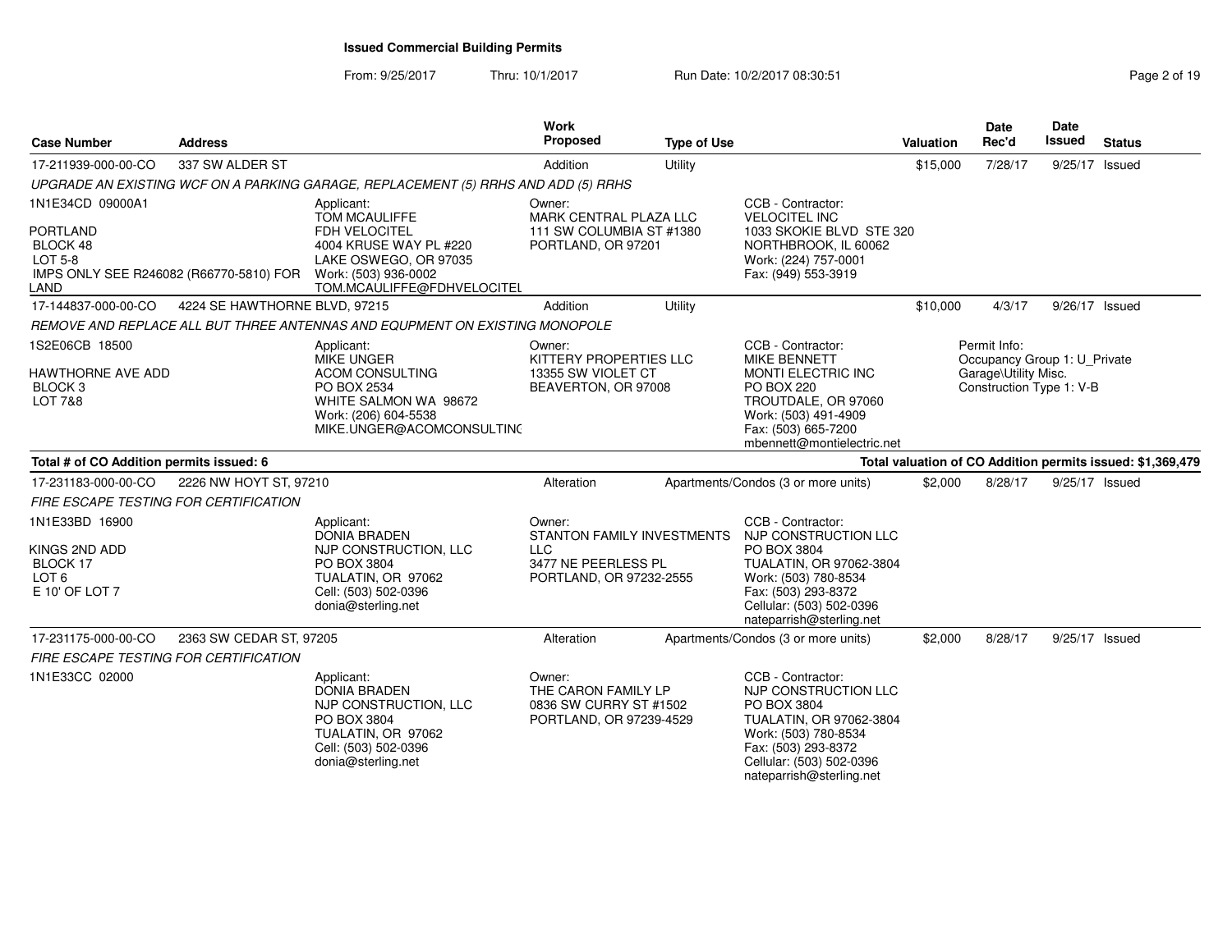From: 9/25/2017Thru: 10/1/2017 **Run Date: 10/2/2017 08:30:51 Page 2 of 19** Page 2 of 19

| <b>Case Number</b>                                                                                                   | <b>Address</b>                |                                                                                                                                                              | Work<br><b>Proposed</b>                                                                              | <b>Type of Use</b> |                                                                                                                                                                                            | Valuation | <b>Date</b><br>Rec'd                                                                             | Date<br>Issued | <b>Status</b>                                              |
|----------------------------------------------------------------------------------------------------------------------|-------------------------------|--------------------------------------------------------------------------------------------------------------------------------------------------------------|------------------------------------------------------------------------------------------------------|--------------------|--------------------------------------------------------------------------------------------------------------------------------------------------------------------------------------------|-----------|--------------------------------------------------------------------------------------------------|----------------|------------------------------------------------------------|
| 17-211939-000-00-CO                                                                                                  | 337 SW ALDER ST               |                                                                                                                                                              | Addition                                                                                             | Utility            |                                                                                                                                                                                            | \$15,000  | 7/28/17                                                                                          | 9/25/17 Issued |                                                            |
|                                                                                                                      |                               | UPGRADE AN EXISTING WCF ON A PARKING GARAGE, REPLACEMENT (5) RRHS AND ADD (5) RRHS                                                                           |                                                                                                      |                    |                                                                                                                                                                                            |           |                                                                                                  |                |                                                            |
| 1N1E34CD 09000A1<br><b>PORTLAND</b><br>BLOCK 48<br><b>LOT 5-8</b><br>IMPS ONLY SEE R246082 (R66770-5810) FOR<br>LAND |                               | Applicant:<br><b>TOM MCAULIFFE</b><br>FDH VELOCITEL<br>4004 KRUSE WAY PL #220<br>LAKE OSWEGO, OR 97035<br>Work: (503) 936-0002<br>TOM.MCAULIFFE@FDHVELOCITEL | Owner:<br>MARK CENTRAL PLAZA LLC<br>111 SW COLUMBIA ST #1380<br>PORTLAND, OR 97201                   |                    | CCB - Contractor:<br><b>VELOCITEL INC</b><br>1033 SKOKIE BLVD STE 320<br>NORTHBROOK, IL 60062<br>Work: (224) 757-0001<br>Fax: (949) 553-3919                                               |           |                                                                                                  |                |                                                            |
| 17-144837-000-00-CO                                                                                                  | 4224 SE HAWTHORNE BLVD, 97215 |                                                                                                                                                              | Addition                                                                                             | Utility            |                                                                                                                                                                                            | \$10,000  | 4/3/17                                                                                           | 9/26/17 Issued |                                                            |
|                                                                                                                      |                               | REMOVE AND REPLACE ALL BUT THREE ANTENNAS AND EQUPMENT ON EXISTING MONOPOLE                                                                                  |                                                                                                      |                    |                                                                                                                                                                                            |           |                                                                                                  |                |                                                            |
| 1S2E06CB 18500<br>HAWTHORNE AVE ADD<br>BLOCK 3<br>LOT 7&8                                                            |                               | Applicant:<br><b>MIKE UNGER</b><br><b>ACOM CONSULTING</b><br>PO BOX 2534<br>WHITE SALMON WA 98672<br>Work: (206) 604-5538<br>MIKE.UNGER@ACOMCONSULTING       | Owner:<br>KITTERY PROPERTIES LLC<br>13355 SW VIOLET CT<br>BEAVERTON, OR 97008                        |                    | CCB - Contractor:<br><b>MIKE BENNETT</b><br>MONTI ELECTRIC INC<br><b>PO BOX 220</b><br>TROUTDALE, OR 97060<br>Work: (503) 491-4909<br>Fax: (503) 665-7200<br>mbennett@montielectric.net    |           | Permit Info:<br>Occupancy Group 1: U_Private<br>Garage\Utility Misc.<br>Construction Type 1: V-B |                |                                                            |
| Total # of CO Addition permits issued: 6                                                                             |                               |                                                                                                                                                              |                                                                                                      |                    |                                                                                                                                                                                            |           |                                                                                                  |                | Total valuation of CO Addition permits issued: \$1,369,479 |
| 17-231183-000-00-CO                                                                                                  | 2226 NW HOYT ST, 97210        |                                                                                                                                                              | Alteration                                                                                           |                    | Apartments/Condos (3 or more units)                                                                                                                                                        | \$2,000   | 8/28/17                                                                                          | 9/25/17 Issued |                                                            |
| <b>FIRE ESCAPE TESTING FOR CERTIFICATION</b>                                                                         |                               |                                                                                                                                                              |                                                                                                      |                    |                                                                                                                                                                                            |           |                                                                                                  |                |                                                            |
| 1N1E33BD 16900<br>KINGS 2ND ADD<br>BLOCK 17<br>LOT <sub>6</sub><br>E 10' OF LOT 7                                    |                               | Applicant:<br><b>DONIA BRADEN</b><br>NJP CONSTRUCTION, LLC<br>PO BOX 3804<br>TUALATIN, OR 97062<br>Cell: (503) 502-0396<br>donia@sterling.net                | Owner:<br>STANTON FAMILY INVESTMENTS<br><b>LLC</b><br>3477 NE PEERLESS PL<br>PORTLAND, OR 97232-2555 |                    | CCB - Contractor:<br>NJP CONSTRUCTION LLC<br>PO BOX 3804<br>TUALATIN, OR 97062-3804<br>Work: (503) 780-8534<br>Fax: (503) 293-8372<br>Cellular: (503) 502-0396<br>nateparrish@sterling.net |           |                                                                                                  |                |                                                            |
| 17-231175-000-00-CO                                                                                                  | 2363 SW CEDAR ST, 97205       |                                                                                                                                                              | Alteration                                                                                           |                    | Apartments/Condos (3 or more units)                                                                                                                                                        | \$2,000   | 8/28/17                                                                                          | 9/25/17 Issued |                                                            |
| FIRE ESCAPE TESTING FOR CERTIFICATION                                                                                |                               |                                                                                                                                                              |                                                                                                      |                    |                                                                                                                                                                                            |           |                                                                                                  |                |                                                            |
| 1N1E33CC 02000                                                                                                       |                               | Applicant:<br><b>DONIA BRADEN</b><br>NJP CONSTRUCTION, LLC<br>PO BOX 3804<br>TUALATIN, OR 97062<br>Cell: (503) 502-0396<br>donia@sterling.net                | Owner:<br>THE CARON FAMILY LP<br>0836 SW CURRY ST #1502<br>PORTLAND, OR 97239-4529                   |                    | CCB - Contractor:<br>NJP CONSTRUCTION LLC<br>PO BOX 3804<br>TUALATIN, OR 97062-3804<br>Work: (503) 780-8534<br>Fax: (503) 293-8372<br>Cellular: (503) 502-0396<br>nateparrish@sterling.net |           |                                                                                                  |                |                                                            |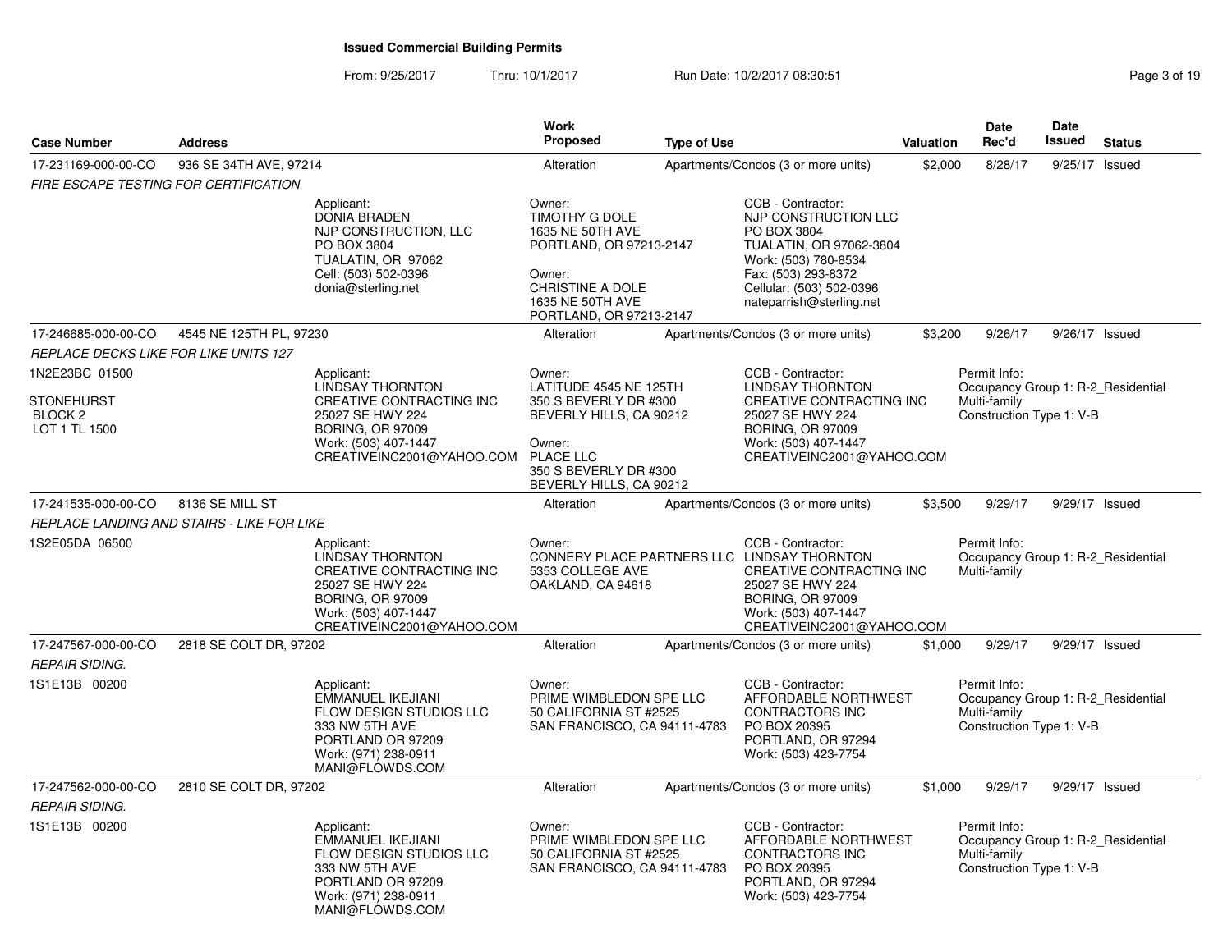From: 9/25/2017Thru: 10/1/2017 Run Date: 10/2/2017 08:30:51

| Page 3 of 19 |  |  |  |
|--------------|--|--|--|
|--------------|--|--|--|

| <b>Case Number</b>                                                         | <b>Address</b>                             |                                                                                                                                                                              | <b>Work</b><br><b>Proposed</b>                                                                                                                                  | <b>Type of Use</b> |                                                                                                                                                                                                  | Valuation | <b>Date</b><br>Rec'd                                                                           | Date<br>Issued | <b>Status</b> |
|----------------------------------------------------------------------------|--------------------------------------------|------------------------------------------------------------------------------------------------------------------------------------------------------------------------------|-----------------------------------------------------------------------------------------------------------------------------------------------------------------|--------------------|--------------------------------------------------------------------------------------------------------------------------------------------------------------------------------------------------|-----------|------------------------------------------------------------------------------------------------|----------------|---------------|
| 17-231169-000-00-CO                                                        | 936 SE 34TH AVE, 97214                     |                                                                                                                                                                              | Alteration                                                                                                                                                      |                    | Apartments/Condos (3 or more units)                                                                                                                                                              | \$2,000   | 8/28/17                                                                                        | 9/25/17 Issued |               |
| FIRE ESCAPE TESTING FOR CERTIFICATION                                      |                                            |                                                                                                                                                                              |                                                                                                                                                                 |                    |                                                                                                                                                                                                  |           |                                                                                                |                |               |
|                                                                            |                                            | Applicant:<br><b>DONIA BRADEN</b><br>NJP CONSTRUCTION, LLC<br>PO BOX 3804<br>TUALATIN, OR 97062<br>Cell: (503) 502-0396<br>donia@sterling.net                                | Owner:<br>TIMOTHY G DOLE<br>1635 NE 50TH AVE<br>PORTLAND, OR 97213-2147<br>Owner:<br>CHRISTINE A DOLE<br>1635 NE 50TH AVE<br>PORTLAND, OR 97213-2147            |                    | CCB - Contractor:<br>NJP CONSTRUCTION LLC<br>PO BOX 3804<br>TUALATIN, OR 97062-3804<br>Work: (503) 780-8534<br>Fax: (503) 293-8372<br>Cellular: (503) 502-0396<br>nateparrish@sterling.net       |           |                                                                                                |                |               |
| 17-246685-000-00-CO                                                        | 4545 NE 125TH PL, 97230                    |                                                                                                                                                                              | Alteration                                                                                                                                                      |                    | Apartments/Condos (3 or more units)                                                                                                                                                              | \$3,200   | 9/26/17                                                                                        | 9/26/17 Issued |               |
| REPLACE DECKS LIKE FOR LIKE UNITS 127                                      |                                            |                                                                                                                                                                              |                                                                                                                                                                 |                    |                                                                                                                                                                                                  |           |                                                                                                |                |               |
| 1N2E23BC 01500<br><b>STONEHURST</b><br>BLOCK <sub>2</sub><br>LOT 1 TL 1500 |                                            | Applicant:<br><b>LINDSAY THORNTON</b><br>CREATIVE CONTRACTING INC<br>25027 SE HWY 224<br>BORING, OR 97009<br>Work: (503) 407-1447<br>CREATIVEINC2001@YAHOO.COM               | Owner:<br>LATITUDE 4545 NE 125TH<br>350 S BEVERLY DR #300<br>BEVERLY HILLS, CA 90212<br>Owner:<br>PLACE LLC<br>350 S BEVERLY DR #300<br>BEVERLY HILLS, CA 90212 |                    | CCB - Contractor:<br><b>LINDSAY THORNTON</b><br>CREATIVE CONTRACTING INC<br>25027 SE HWY 224<br><b>BORING, OR 97009</b><br>Work: (503) 407-1447<br>CREATIVEINC2001@YAHOO.COM                     |           | Permit Info:<br>Occupancy Group 1: R-2 Residential<br>Multi-family<br>Construction Type 1: V-B |                |               |
| 17-241535-000-00-CO                                                        | 8136 SE MILL ST                            |                                                                                                                                                                              | Alteration                                                                                                                                                      |                    | Apartments/Condos (3 or more units)                                                                                                                                                              | \$3,500   | 9/29/17                                                                                        | 9/29/17 Issued |               |
|                                                                            | REPLACE LANDING AND STAIRS - LIKE FOR LIKE |                                                                                                                                                                              |                                                                                                                                                                 |                    |                                                                                                                                                                                                  |           |                                                                                                |                |               |
| 1S2E05DA 06500                                                             |                                            | Applicant:<br><b>LINDSAY THORNTON</b><br><b>CREATIVE CONTRACTING INC</b><br>25027 SE HWY 224<br><b>BORING, OR 97009</b><br>Work: (503) 407-1447<br>CREATIVEINC2001@YAHOO.COM | Owner:<br>5353 COLLEGE AVE<br>OAKLAND, CA 94618                                                                                                                 |                    | CCB - Contractor:<br>CONNERY PLACE PARTNERS LLC LINDSAY THORNTON<br>CREATIVE CONTRACTING INC<br>25027 SE HWY 224<br><b>BORING, OR 97009</b><br>Work: (503) 407-1447<br>CREATIVEINC2001@YAHOO.COM |           | Permit Info:<br>Occupancy Group 1: R-2 Residential<br>Multi-family                             |                |               |
| 17-247567-000-00-CO                                                        | 2818 SE COLT DR, 97202                     |                                                                                                                                                                              | Alteration                                                                                                                                                      |                    | Apartments/Condos (3 or more units)                                                                                                                                                              | \$1,000   | 9/29/17                                                                                        | 9/29/17 Issued |               |
| <b>REPAIR SIDING.</b>                                                      |                                            |                                                                                                                                                                              |                                                                                                                                                                 |                    |                                                                                                                                                                                                  |           |                                                                                                |                |               |
| 1S1E13B 00200                                                              |                                            | Applicant:<br><b>EMMANUEL IKEJIANI</b><br><b>FLOW DESIGN STUDIOS LLC</b><br>333 NW 5TH AVE<br>PORTLAND OR 97209<br>Work: (971) 238-0911<br>MANI@FLOWDS.COM                   | Owner:<br>PRIME WIMBLEDON SPE LLC<br>50 CALIFORNIA ST #2525<br>SAN FRANCISCO, CA 94111-4783                                                                     |                    | CCB - Contractor:<br>AFFORDABLE NORTHWEST<br>CONTRACTORS INC<br>PO BOX 20395<br>PORTLAND, OR 97294<br>Work: (503) 423-7754                                                                       |           | Permit Info:<br>Occupancy Group 1: R-2 Residential<br>Multi-family<br>Construction Type 1: V-B |                |               |
| 17-247562-000-00-CO<br>REPAIR SIDING.                                      | 2810 SE COLT DR, 97202                     |                                                                                                                                                                              | Alteration                                                                                                                                                      |                    | Apartments/Condos (3 or more units)                                                                                                                                                              | \$1,000   | 9/29/17                                                                                        | 9/29/17 Issued |               |
| 1S1E13B 00200                                                              |                                            | Applicant:<br><b>EMMANUEL IKEJIANI</b><br><b>FLOW DESIGN STUDIOS LLC</b><br>333 NW 5TH AVE<br>PORTLAND OR 97209<br>Work: (971) 238-0911<br>MANI@FLOWDS.COM                   | Owner:<br>PRIME WIMBLEDON SPE LLC<br>50 CALIFORNIA ST #2525<br>SAN FRANCISCO, CA 94111-4783                                                                     |                    | CCB - Contractor:<br>AFFORDABLE NORTHWEST<br>CONTRACTORS INC<br>PO BOX 20395<br>PORTLAND, OR 97294<br>Work: (503) 423-7754                                                                       |           | Permit Info:<br>Occupancy Group 1: R-2 Residential<br>Multi-family<br>Construction Type 1: V-B |                |               |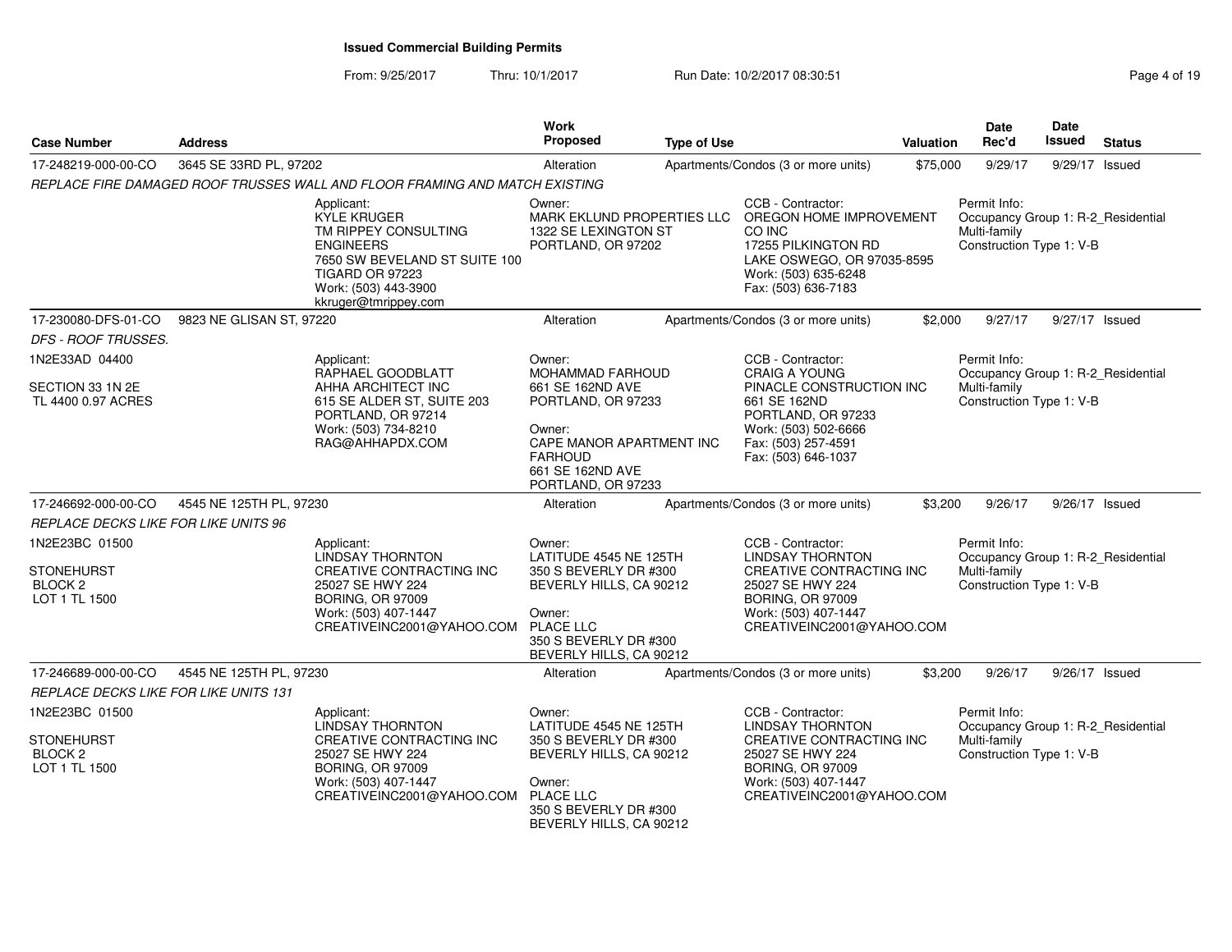From: 9/25/2017Thru: 10/1/2017 **Run Date: 10/2/2017 08:30:51 Page 4 of 19** Page 4 of 19

| <b>Case Number</b>                                                         | <b>Address</b>           |                                                                                                                                                                                         | Work<br>Proposed                                                                                                                                                              | <b>Type of Use</b> |                                                                                                                                                                                   | Valuation | <b>Date</b><br>Rec'd                                                                           | Date<br><b>Issued</b> | <b>Status</b> |
|----------------------------------------------------------------------------|--------------------------|-----------------------------------------------------------------------------------------------------------------------------------------------------------------------------------------|-------------------------------------------------------------------------------------------------------------------------------------------------------------------------------|--------------------|-----------------------------------------------------------------------------------------------------------------------------------------------------------------------------------|-----------|------------------------------------------------------------------------------------------------|-----------------------|---------------|
| 17-248219-000-00-CO                                                        | 3645 SE 33RD PL, 97202   |                                                                                                                                                                                         | Alteration                                                                                                                                                                    |                    | Apartments/Condos (3 or more units)                                                                                                                                               | \$75,000  | 9/29/17                                                                                        | 9/29/17 Issued        |               |
|                                                                            |                          | REPLACE FIRE DAMAGED ROOF TRUSSES WALL AND FLOOR FRAMING AND MATCH EXISTING                                                                                                             |                                                                                                                                                                               |                    |                                                                                                                                                                                   |           |                                                                                                |                       |               |
|                                                                            |                          | Applicant:<br><b>KYLE KRUGER</b><br>TM RIPPEY CONSULTING<br><b>ENGINEERS</b><br>7650 SW BEVELAND ST SUITE 100<br><b>TIGARD OR 97223</b><br>Work: (503) 443-3900<br>kkruger@tmrippey.com | Owner:<br>MARK EKLUND PROPERTIES LLC<br>1322 SE LEXINGTON ST<br>PORTLAND, OR 97202                                                                                            |                    | CCB - Contractor:<br>OREGON HOME IMPROVEMENT<br>CO INC<br>17255 PILKINGTON RD<br>LAKE OSWEGO, OR 97035-8595<br>Work: (503) 635-6248<br>Fax: (503) 636-7183                        |           | Permit Info:<br>Occupancy Group 1: R-2 Residential<br>Multi-family<br>Construction Type 1: V-B |                       |               |
| 17-230080-DFS-01-CO                                                        | 9823 NE GLISAN ST, 97220 |                                                                                                                                                                                         | Alteration                                                                                                                                                                    |                    | Apartments/Condos (3 or more units)                                                                                                                                               | \$2,000   | 9/27/17                                                                                        | 9/27/17 Issued        |               |
| DFS - ROOF TRUSSES.                                                        |                          |                                                                                                                                                                                         |                                                                                                                                                                               |                    |                                                                                                                                                                                   |           |                                                                                                |                       |               |
| 1N2E33AD 04400<br>SECTION 33 1N 2E<br>TL 4400 0.97 ACRES                   |                          | Applicant:<br>RAPHAEL GOODBLATT<br>AHHA ARCHITECT INC<br>615 SE ALDER ST, SUITE 203<br>PORTLAND, OR 97214<br>Work: (503) 734-8210<br>RAG@AHHAPDX.COM                                    | Owner:<br><b>MOHAMMAD FARHOUD</b><br>661 SE 162ND AVE<br>PORTLAND, OR 97233<br>Owner:<br>CAPE MANOR APARTMENT INC<br><b>FARHOUD</b><br>661 SE 162ND AVE<br>PORTLAND, OR 97233 |                    | CCB - Contractor:<br><b>CRAIG A YOUNG</b><br>PINACLE CONSTRUCTION INC<br>661 SE 162ND<br>PORTLAND, OR 97233<br>Work: (503) 502-6666<br>Fax: (503) 257-4591<br>Fax: (503) 646-1037 |           | Permit Info:<br>Occupancy Group 1: R-2_Residential<br>Multi-family<br>Construction Type 1: V-B |                       |               |
| 17-246692-000-00-CO                                                        | 4545 NE 125TH PL, 97230  |                                                                                                                                                                                         | Alteration                                                                                                                                                                    |                    | Apartments/Condos (3 or more units)                                                                                                                                               | \$3,200   | 9/26/17                                                                                        | 9/26/17 Issued        |               |
| REPLACE DECKS LIKE FOR LIKE UNITS 96                                       |                          |                                                                                                                                                                                         |                                                                                                                                                                               |                    |                                                                                                                                                                                   |           |                                                                                                |                       |               |
| 1N2E23BC 01500<br><b>STONEHURST</b><br>BLOCK <sub>2</sub><br>LOT 1 TL 1500 |                          | Applicant:<br><b>LINDSAY THORNTON</b><br>CREATIVE CONTRACTING INC<br>25027 SE HWY 224<br><b>BORING, OR 97009</b><br>Work: (503) 407-1447<br>CREATIVEINC2001@YAHOO.COM                   | Owner:<br>LATITUDE 4545 NE 125TH<br>350 S BEVERLY DR #300<br>BEVERLY HILLS, CA 90212<br>Owner:<br><b>PLACE LLC</b><br>350 S BEVERLY DR #300<br>BEVERLY HILLS, CA 90212        |                    | CCB - Contractor:<br><b>LINDSAY THORNTON</b><br>CREATIVE CONTRACTING INC<br>25027 SE HWY 224<br><b>BORING, OR 97009</b><br>Work: (503) 407-1447<br>CREATIVEINC2001@YAHOO.COM      |           | Permit Info:<br>Occupancy Group 1: R-2_Residential<br>Multi-family<br>Construction Type 1: V-B |                       |               |
| 17-246689-000-00-CO                                                        | 4545 NE 125TH PL, 97230  |                                                                                                                                                                                         | Alteration                                                                                                                                                                    |                    | Apartments/Condos (3 or more units)                                                                                                                                               | \$3,200   | 9/26/17                                                                                        | 9/26/17 Issued        |               |
| REPLACE DECKS LIKE FOR LIKE UNITS 131                                      |                          |                                                                                                                                                                                         |                                                                                                                                                                               |                    |                                                                                                                                                                                   |           |                                                                                                |                       |               |
| 1N2E23BC 01500<br><b>STONEHURST</b><br><b>BLOCK 2</b><br>LOT 1 TL 1500     |                          | Applicant:<br>LINDSAY THORNTON<br>CREATIVE CONTRACTING INC<br>25027 SE HWY 224<br><b>BORING, OR 97009</b><br>Work: (503) 407-1447<br>CREATIVEINC2001@YAHOO.COM                          | Owner:<br>LATITUDE 4545 NE 125TH<br>350 S BEVERLY DR #300<br>BEVERLY HILLS, CA 90212<br>Owner:<br><b>PLACE LLC</b><br>350 S BEVERLY DR #300<br>BEVERLY HILLS, CA 90212        |                    | CCB - Contractor:<br><b>LINDSAY THORNTON</b><br>CREATIVE CONTRACTING INC<br>25027 SE HWY 224<br><b>BORING, OR 97009</b><br>Work: (503) 407-1447<br>CREATIVEINC2001@YAHOO.COM      |           | Permit Info:<br>Occupancy Group 1: R-2_Residential<br>Multi-family<br>Construction Type 1: V-B |                       |               |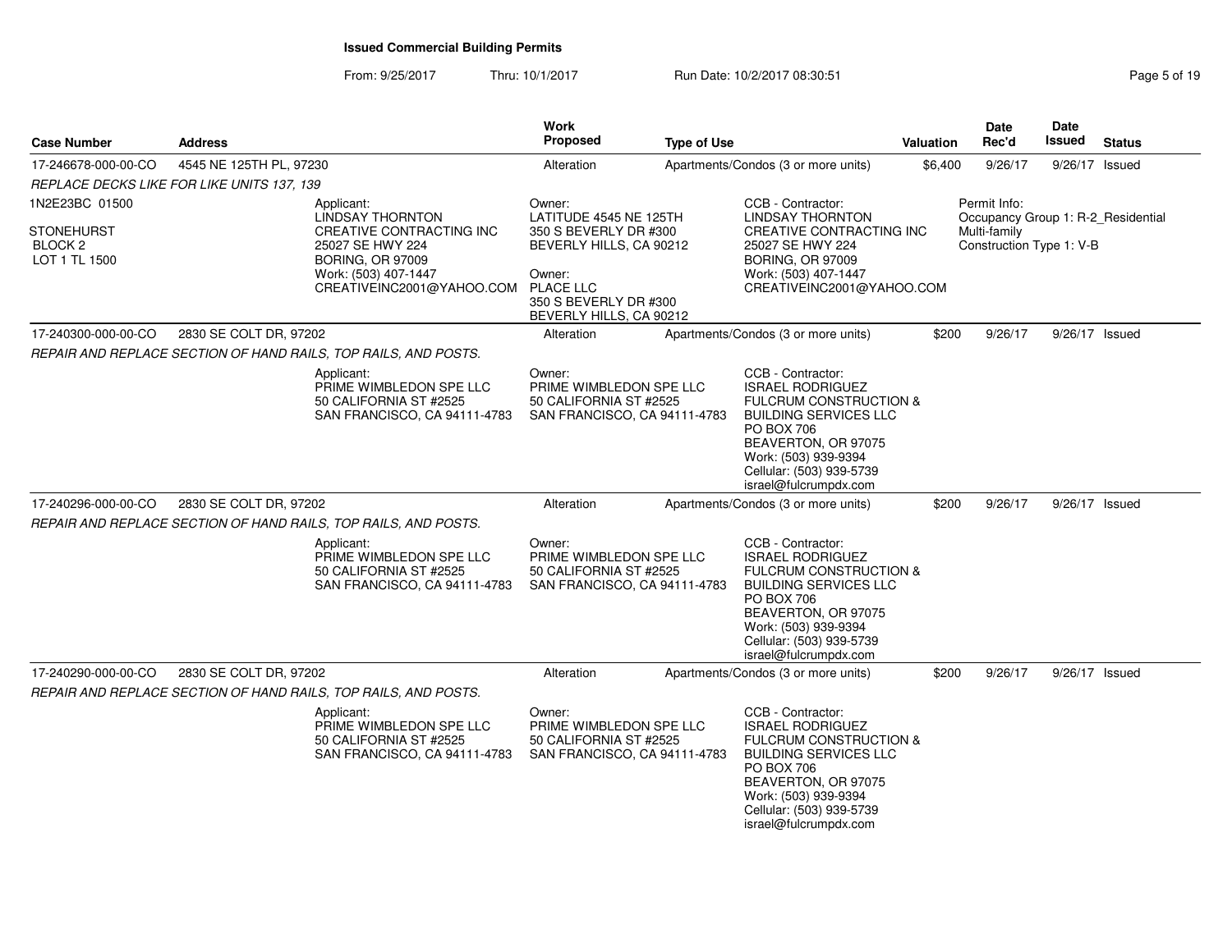From: 9/25/2017Thru: 10/1/2017 **Run Date: 10/2/2017 08:30:51 Pag F Pag** 

| Page 5 of 19 |  |  |
|--------------|--|--|
|--------------|--|--|

| <b>Case Number</b>                                       | <b>Address</b>                                                                                                                                   | Work<br>Proposed                                                                                                                                             | <b>Type of Use</b> |                                                                                                                                                                                                                                            | Valuation | Date<br>Rec'd                                                                  | Date<br><b>Issued</b> | <b>Status</b> |
|----------------------------------------------------------|--------------------------------------------------------------------------------------------------------------------------------------------------|--------------------------------------------------------------------------------------------------------------------------------------------------------------|--------------------|--------------------------------------------------------------------------------------------------------------------------------------------------------------------------------------------------------------------------------------------|-----------|--------------------------------------------------------------------------------|-----------------------|---------------|
| 17-246678-000-00-CO                                      | 4545 NE 125TH PL, 97230                                                                                                                          | Alteration                                                                                                                                                   |                    | Apartments/Condos (3 or more units)                                                                                                                                                                                                        | \$6,400   | 9/26/17                                                                        | 9/26/17 Issued        |               |
|                                                          | REPLACE DECKS LIKE FOR LIKE UNITS 137, 139                                                                                                       |                                                                                                                                                              |                    |                                                                                                                                                                                                                                            |           |                                                                                |                       |               |
| 1N2E23BC 01500                                           | Applicant:                                                                                                                                       | Owner:                                                                                                                                                       |                    | CCB - Contractor:                                                                                                                                                                                                                          |           | Permit Info:                                                                   |                       |               |
| <b>STONEHURST</b><br>BLOCK <sub>2</sub><br>LOT 1 TL 1500 | LINDSAY THORNTON<br>CREATIVE CONTRACTING INC<br>25027 SE HWY 224<br><b>BORING, OR 97009</b><br>Work: (503) 407-1447<br>CREATIVEINC2001@YAHOO.COM | LATITUDE 4545 NE 125TH<br>350 S BEVERLY DR #300<br>BEVERLY HILLS, CA 90212<br>Owner:<br><b>PLACE LLC</b><br>350 S BEVERLY DR #300<br>BEVERLY HILLS, CA 90212 |                    | <b>LINDSAY THORNTON</b><br>CREATIVE CONTRACTING INC<br>25027 SE HWY 224<br><b>BORING, OR 97009</b><br>Work: (503) 407-1447<br>CREATIVEINC2001@YAHOO.COM                                                                                    |           | Occupancy Group 1: R-2_Residential<br>Multi-family<br>Construction Type 1: V-B |                       |               |
| 17-240300-000-00-CO                                      | 2830 SE COLT DR, 97202                                                                                                                           | Alteration                                                                                                                                                   |                    | Apartments/Condos (3 or more units)                                                                                                                                                                                                        | \$200     | 9/26/17                                                                        | 9/26/17 Issued        |               |
|                                                          | REPAIR AND REPLACE SECTION OF HAND RAILS, TOP RAILS, AND POSTS.                                                                                  |                                                                                                                                                              |                    |                                                                                                                                                                                                                                            |           |                                                                                |                       |               |
|                                                          | Applicant:<br>PRIME WIMBLEDON SPE LLC<br>50 CALIFORNIA ST #2525<br>SAN FRANCISCO, CA 94111-4783                                                  | Owner:<br>PRIME WIMBLEDON SPE LLC<br>50 CALIFORNIA ST #2525<br>SAN FRANCISCO, CA 94111-4783                                                                  |                    | CCB - Contractor:<br><b>ISRAEL RODRIGUEZ</b><br><b>FULCRUM CONSTRUCTION &amp;</b><br><b>BUILDING SERVICES LLC</b><br><b>PO BOX 706</b><br>BEAVERTON, OR 97075<br>Work: (503) 939-9394<br>Cellular: (503) 939-5739<br>israel@fulcrumpdx.com |           |                                                                                |                       |               |
| 17-240296-000-00-CO                                      | 2830 SE COLT DR, 97202                                                                                                                           | Alteration                                                                                                                                                   |                    | Apartments/Condos (3 or more units)                                                                                                                                                                                                        | \$200     | 9/26/17                                                                        | 9/26/17 Issued        |               |
|                                                          | REPAIR AND REPLACE SECTION OF HAND RAILS, TOP RAILS, AND POSTS.                                                                                  |                                                                                                                                                              |                    |                                                                                                                                                                                                                                            |           |                                                                                |                       |               |
|                                                          | Applicant:<br>PRIME WIMBLEDON SPE LLC<br>50 CALIFORNIA ST #2525<br>SAN FRANCISCO, CA 94111-4783                                                  | Owner:<br>PRIME WIMBLEDON SPE LLC<br>50 CALIFORNIA ST #2525<br>SAN FRANCISCO, CA 94111-4783                                                                  |                    | CCB - Contractor:<br><b>ISRAEL RODRIGUEZ</b><br><b>FULCRUM CONSTRUCTION &amp;</b><br><b>BUILDING SERVICES LLC</b><br><b>PO BOX 706</b><br>BEAVERTON, OR 97075<br>Work: (503) 939-9394<br>Cellular: (503) 939-5739<br>israel@fulcrumpdx.com |           |                                                                                |                       |               |
| 17-240290-000-00-CO                                      | 2830 SE COLT DR, 97202                                                                                                                           | Alteration                                                                                                                                                   |                    | Apartments/Condos (3 or more units)                                                                                                                                                                                                        | \$200     | 9/26/17                                                                        | 9/26/17 Issued        |               |
|                                                          | REPAIR AND REPLACE SECTION OF HAND RAILS, TOP RAILS, AND POSTS.                                                                                  |                                                                                                                                                              |                    |                                                                                                                                                                                                                                            |           |                                                                                |                       |               |
|                                                          | Applicant:<br>PRIME WIMBLEDON SPE LLC<br>50 CALIFORNIA ST #2525<br>SAN FRANCISCO, CA 94111-4783                                                  | Owner:<br>PRIME WIMBLEDON SPE LLC<br>50 CALIFORNIA ST #2525<br>SAN FRANCISCO, CA 94111-4783                                                                  |                    | CCB - Contractor:<br><b>ISRAEL RODRIGUEZ</b><br><b>FULCRUM CONSTRUCTION &amp;</b><br><b>BUILDING SERVICES LLC</b><br>PO BOX 706<br>BEAVERTON, OR 97075<br>Work: (503) 939-9394<br>Cellular: (503) 939-5739<br>israel@fulcrumpdx.com        |           |                                                                                |                       |               |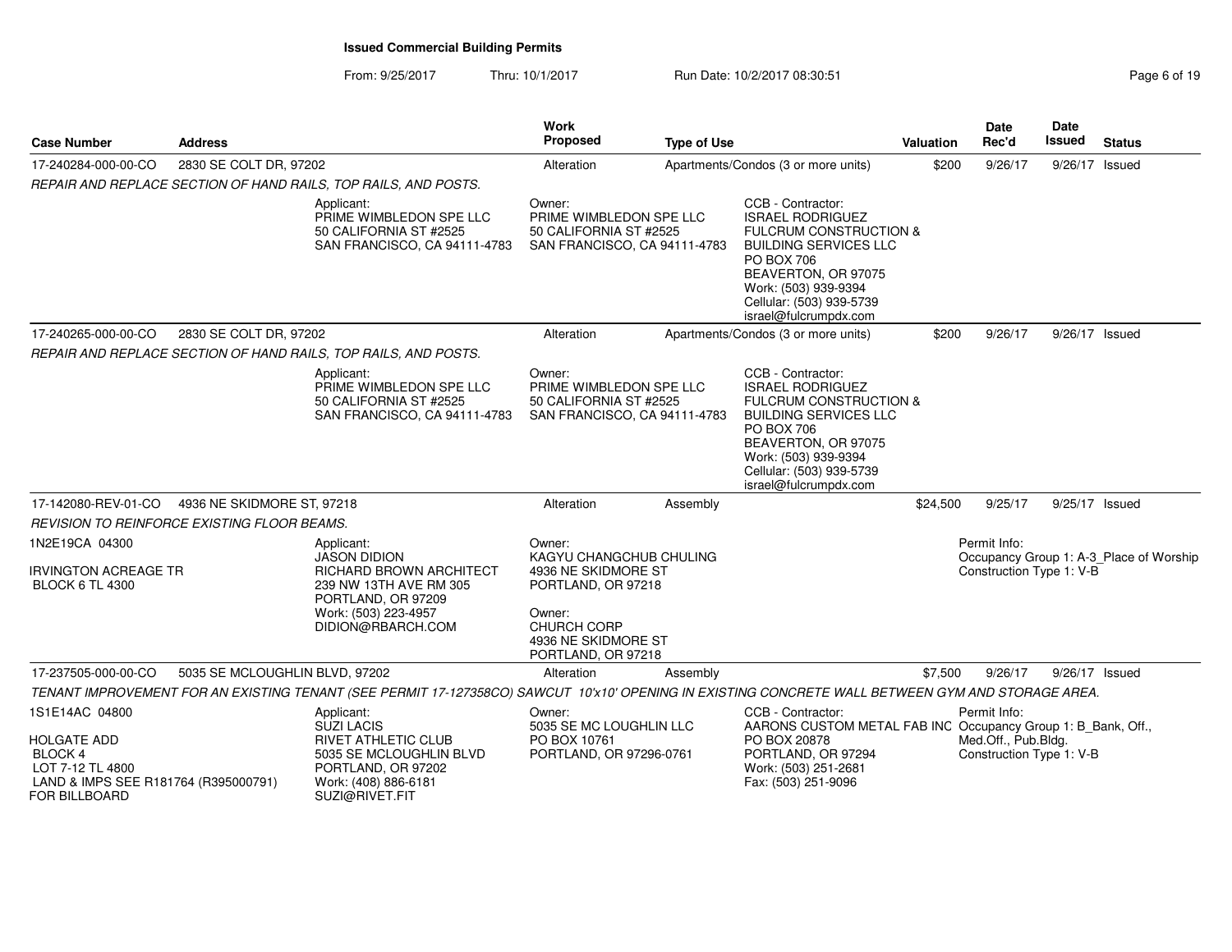From: 9/25/2017Thru: 10/1/2017 **Run Date: 10/2/2017 08:30:51 Page 6 of 19 Page 6 of 19** 

| <b>Case Number</b>                                                  | <b>Address</b>                 |                                                                                                                                                   | <b>Work</b><br>Proposed                                                                                                | <b>Type of Use</b> |                                                                                                                                                                                                                                            | <b>Valuation</b> | <b>Date</b><br>Rec'd                                            | Date<br><b>Issued</b> | <b>Status</b>                           |
|---------------------------------------------------------------------|--------------------------------|---------------------------------------------------------------------------------------------------------------------------------------------------|------------------------------------------------------------------------------------------------------------------------|--------------------|--------------------------------------------------------------------------------------------------------------------------------------------------------------------------------------------------------------------------------------------|------------------|-----------------------------------------------------------------|-----------------------|-----------------------------------------|
| 17-240284-000-00-CO                                                 | 2830 SE COLT DR, 97202         |                                                                                                                                                   | Alteration                                                                                                             |                    | Apartments/Condos (3 or more units)                                                                                                                                                                                                        | \$200            | 9/26/17                                                         | 9/26/17 Issued        |                                         |
|                                                                     |                                | REPAIR AND REPLACE SECTION OF HAND RAILS, TOP RAILS, AND POSTS.                                                                                   |                                                                                                                        |                    |                                                                                                                                                                                                                                            |                  |                                                                 |                       |                                         |
|                                                                     |                                | Applicant:<br>PRIME WIMBLEDON SPE LLC<br>50 CALIFORNIA ST #2525<br>SAN FRANCISCO, CA 94111-4783                                                   | Owner:<br>PRIME WIMBLEDON SPE LLC<br>50 CALIFORNIA ST #2525<br>SAN FRANCISCO, CA 94111-4783                            |                    | CCB - Contractor:<br><b>ISRAEL RODRIGUEZ</b><br>FULCRUM CONSTRUCTION &<br><b>BUILDING SERVICES LLC</b><br>PO BOX 706<br>BEAVERTON, OR 97075<br>Work: (503) 939-9394<br>Cellular: (503) 939-5739<br>israel@fulcrumpdx.com                   |                  |                                                                 |                       |                                         |
| 17-240265-000-00-CO                                                 | 2830 SE COLT DR, 97202         |                                                                                                                                                   | Alteration                                                                                                             |                    | Apartments/Condos (3 or more units)                                                                                                                                                                                                        | \$200            | 9/26/17                                                         | 9/26/17 Issued        |                                         |
|                                                                     |                                | REPAIR AND REPLACE SECTION OF HAND RAILS, TOP RAILS, AND POSTS.                                                                                   |                                                                                                                        |                    |                                                                                                                                                                                                                                            |                  |                                                                 |                       |                                         |
|                                                                     |                                | Applicant:<br>PRIME WIMBLEDON SPE LLC<br>50 CALIFORNIA ST #2525<br>SAN FRANCISCO, CA 94111-4783                                                   | Owner:<br>PRIME WIMBLEDON SPE LLC<br>50 CALIFORNIA ST #2525<br>SAN FRANCISCO, CA 94111-4783                            |                    | CCB - Contractor:<br><b>ISRAEL RODRIGUEZ</b><br><b>FULCRUM CONSTRUCTION &amp;</b><br><b>BUILDING SERVICES LLC</b><br><b>PO BOX 706</b><br>BEAVERTON, OR 97075<br>Work: (503) 939-9394<br>Cellular: (503) 939-5739<br>israel@fulcrumpdx.com |                  |                                                                 |                       |                                         |
| 17-142080-REV-01-CO                                                 | 4936 NE SKIDMORE ST, 97218     |                                                                                                                                                   | Alteration                                                                                                             | Assembly           |                                                                                                                                                                                                                                            | \$24,500         | 9/25/17                                                         | 9/25/17 Issued        |                                         |
| <b>REVISION TO REINFORCE EXISTING FLOOR BEAMS.</b>                  |                                |                                                                                                                                                   |                                                                                                                        |                    |                                                                                                                                                                                                                                            |                  |                                                                 |                       |                                         |
| 1N2E19CA 04300                                                      |                                | Applicant:<br><b>JASON DIDION</b>                                                                                                                 | Owner:<br>KAGYU CHANGCHUB CHULING                                                                                      |                    |                                                                                                                                                                                                                                            |                  | Permit Info:                                                    |                       | Occupancy Group 1: A-3_Place of Worship |
| IRVINGTON ACREAGE TR<br><b>BLOCK 6 TL 4300</b>                      |                                | RICHARD BROWN ARCHITECT<br>239 NW 13TH AVE RM 305<br>PORTLAND, OR 97209<br>Work: (503) 223-4957<br>DIDION@RBARCH.COM                              | 4936 NE SKIDMORE ST<br>PORTLAND, OR 97218<br>Owner:<br><b>CHURCH CORP</b><br>4936 NE SKIDMORE ST<br>PORTLAND, OR 97218 |                    |                                                                                                                                                                                                                                            |                  | Construction Type 1: V-B                                        |                       |                                         |
| 17-237505-000-00-CO                                                 | 5035 SE MCLOUGHLIN BLVD, 97202 |                                                                                                                                                   | Alteration                                                                                                             | Assembly           |                                                                                                                                                                                                                                            | \$7,500          | 9/26/17                                                         | 9/26/17 Issued        |                                         |
|                                                                     |                                | TENANT IMPROVEMENT FOR AN EXISTING TENANT (SEE PERMIT 17-127358CO) SAWCUT 10'x10' OPENING IN EXISTING CONCRETE WALL BETWEEN GYM AND STORAGE AREA. |                                                                                                                        |                    |                                                                                                                                                                                                                                            |                  |                                                                 |                       |                                         |
| 1S1E14AC 04800<br><b>HOLGATE ADD</b><br>BLOCK 4<br>LOT 7-12 TL 4800 |                                | Applicant:<br><b>SUZI LACIS</b><br>RIVET ATHLETIC CLUB<br>5035 SE MCLOUGHLIN BLVD<br>PORTLAND, OR 97202                                           | Owner:<br>5035 SE MC LOUGHLIN LLC<br>PO BOX 10761<br>PORTLAND, OR 97296-0761                                           |                    | CCB - Contractor:<br>AARONS CUSTOM METAL FAB INC Occupancy Group 1: B_Bank, Off.,<br>PO BOX 20878<br>PORTLAND, OR 97294<br>Work: (503) 251-2681                                                                                            |                  | Permit Info:<br>Med.Off., Pub.Bldg.<br>Construction Type 1: V-B |                       |                                         |
| LAND & IMPS SEE R181764 (R395000791)<br>FOR BILLBOARD               |                                | Work: (408) 886-6181<br>SUZI@RIVET.FIT                                                                                                            |                                                                                                                        |                    | Fax: (503) 251-9096                                                                                                                                                                                                                        |                  |                                                                 |                       |                                         |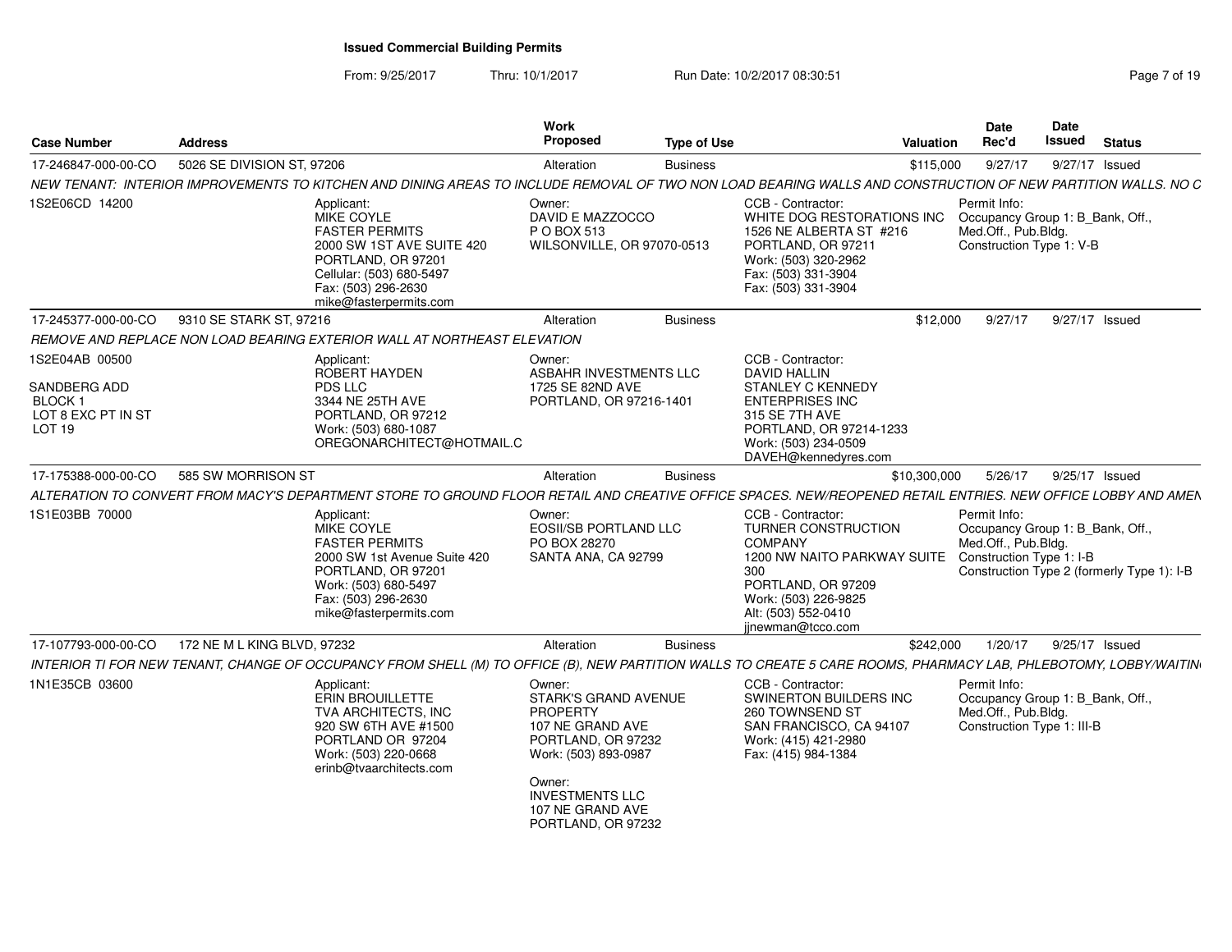From: 9/25/2017Thru: 10/1/2017 **Run Date: 10/2/2017 08:30:51 Page 7 of 19 Page 7 of 19** 

| <b>Case Number</b>                                                        | <b>Address</b>              |                                                                                                                                                                                         | Work<br>Proposed                                                                                                                                                                                  | <b>Type of Use</b> | Valuation                                                                                                                                                                                         | <b>Date</b><br>Rec'd                                                                                  | Date<br>Issued | <b>Status</b>                              |
|---------------------------------------------------------------------------|-----------------------------|-----------------------------------------------------------------------------------------------------------------------------------------------------------------------------------------|---------------------------------------------------------------------------------------------------------------------------------------------------------------------------------------------------|--------------------|---------------------------------------------------------------------------------------------------------------------------------------------------------------------------------------------------|-------------------------------------------------------------------------------------------------------|----------------|--------------------------------------------|
| 17-246847-000-00-CO                                                       | 5026 SE DIVISION ST, 97206  |                                                                                                                                                                                         | Alteration                                                                                                                                                                                        | <b>Business</b>    | \$115,000                                                                                                                                                                                         | 9/27/17                                                                                               | 9/27/17 Issued |                                            |
|                                                                           |                             |                                                                                                                                                                                         |                                                                                                                                                                                                   |                    | NEW TENANT: INTERIOR IMPROVEMENTS TO KITCHEN AND DINING AREAS TO INCLUDE REMOVAL OF TWO NON LOAD BEARING WALLS AND CONSTRUCTION OF NEW PARTITION WALLS. NO C                                      |                                                                                                       |                |                                            |
| 1S2E06CD 14200                                                            |                             | Applicant:<br>MIKE COYLE<br><b>FASTER PERMITS</b><br>2000 SW 1ST AVE SUITE 420<br>PORTLAND, OR 97201<br>Cellular: (503) 680-5497<br>Fax: (503) 296-2630<br>mike@fasterpermits.com       | Owner:<br>DAVID E MAZZOCCO<br>P O BOX 513<br>WILSONVILLE, OR 97070-0513                                                                                                                           |                    | CCB - Contractor:<br>WHITE DOG RESTORATIONS INC<br>1526 NE ALBERTA ST #216<br>PORTLAND, OR 97211<br>Work: (503) 320-2962<br>Fax: (503) 331-3904<br>Fax: (503) 331-3904                            | Permit Info:<br>Occupancy Group 1: B_Bank, Off.,<br>Med.Off., Pub.Bldg.<br>Construction Type 1: V-B   |                |                                            |
| 17-245377-000-00-CO                                                       | 9310 SE STARK ST, 97216     |                                                                                                                                                                                         | Alteration                                                                                                                                                                                        | <b>Business</b>    | \$12,000                                                                                                                                                                                          | 9/27/17                                                                                               | 9/27/17 Issued |                                            |
|                                                                           |                             | REMOVE AND REPLACE NON LOAD BEARING EXTERIOR WALL AT NORTHEAST ELEVATION                                                                                                                |                                                                                                                                                                                                   |                    |                                                                                                                                                                                                   |                                                                                                       |                |                                            |
| 1S2E04AB 00500<br>SANDBERG ADD<br>BLOCK 1<br>LOT 8 EXC PT IN ST<br>LOT 19 |                             | Applicant:<br>ROBERT HAYDEN<br>PDS LLC<br>3344 NE 25TH AVE<br>PORTLAND, OR 97212<br>Work: (503) 680-1087<br>OREGONARCHITECT@HOTMAIL.C                                                   | Owner:<br>ASBAHR INVESTMENTS LLC<br>1725 SE 82ND AVE<br>PORTLAND, OR 97216-1401                                                                                                                   |                    | CCB - Contractor:<br><b>DAVID HALLIN</b><br>STANLEY C KENNEDY<br><b>ENTERPRISES INC</b><br>315 SE 7TH AVE<br>PORTLAND, OR 97214-1233<br>Work: (503) 234-0509<br>DAVEH@kennedyres.com              |                                                                                                       |                |                                            |
| 17-175388-000-00-CO                                                       | 585 SW MORRISON ST          |                                                                                                                                                                                         | Alteration                                                                                                                                                                                        | <b>Business</b>    | \$10,300,000                                                                                                                                                                                      | 5/26/17                                                                                               | 9/25/17 Issued |                                            |
|                                                                           |                             |                                                                                                                                                                                         |                                                                                                                                                                                                   |                    | ALTERATION TO CONVERT FROM MACY'S DEPARTMENT STORE TO GROUND FLOOR RETAIL AND CREATIVE OFFICE SPACES. NEW/REOPENED RETAIL ENTRIES. NEW OFFICE LOBBY AND AMEN                                      |                                                                                                       |                |                                            |
| 1S1E03BB 70000                                                            |                             | Applicant:<br><b>MIKE COYLE</b><br><b>FASTER PERMITS</b><br>2000 SW 1st Avenue Suite 420<br>PORTLAND, OR 97201<br>Work: (503) 680-5497<br>Fax: (503) 296-2630<br>mike@fasterpermits.com | Owner:<br><b>EOSII/SB PORTLAND LLC</b><br>PO BOX 28270<br>SANTA ANA, CA 92799                                                                                                                     |                    | CCB - Contractor:<br><b>TURNER CONSTRUCTION</b><br><b>COMPANY</b><br>1200 NW NAITO PARKWAY SUITE<br>300<br>PORTLAND, OR 97209<br>Work: (503) 226-9825<br>Alt: (503) 552-0410<br>jjnewman@tcco.com | Permit Info:<br>Occupancy Group 1: B_Bank, Off.,<br>Med.Off., Pub.Bldg.<br>Construction Type 1: I-B   |                | Construction Type 2 (formerly Type 1): I-B |
| 17-107793-000-00-CO                                                       | 172 NE M L KING BLVD, 97232 |                                                                                                                                                                                         | Alteration                                                                                                                                                                                        | <b>Business</b>    | \$242,000                                                                                                                                                                                         | 1/20/17                                                                                               | 9/25/17 Issued |                                            |
|                                                                           |                             |                                                                                                                                                                                         |                                                                                                                                                                                                   |                    | INTERIOR TI FOR NEW TENANT, CHANGE OF OCCUPANCY FROM SHELL (M) TO OFFICE (B), NEW PARTITION WALLS TO CREATE 5 CARE ROOMS, PHARMACY LAB, PHLEBOTOMY, LOBBY/WAITIN                                  |                                                                                                       |                |                                            |
| 1N1E35CB 03600                                                            |                             | Applicant:<br><b>ERIN BROUILLETTE</b><br><b>TVA ARCHITECTS. INC</b><br>920 SW 6TH AVE #1500<br>PORTLAND OR 97204<br>Work: (503) 220-0668<br>erinb@tvaarchitects.com                     | Owner:<br>STARK'S GRAND AVENUE<br><b>PROPERTY</b><br>107 NE GRAND AVE<br>PORTLAND, OR 97232<br>Work: (503) 893-0987<br>Owner:<br><b>INVESTMENTS LLC</b><br>107 NE GRAND AVE<br>PORTLAND, OR 97232 |                    | CCB - Contractor:<br>SWINERTON BUILDERS INC<br>260 TOWNSEND ST<br>SAN FRANCISCO, CA 94107<br>Work: (415) 421-2980<br>Fax: (415) 984-1384                                                          | Permit Info:<br>Occupancy Group 1: B_Bank, Off.,<br>Med.Off., Pub.Bldg.<br>Construction Type 1: III-B |                |                                            |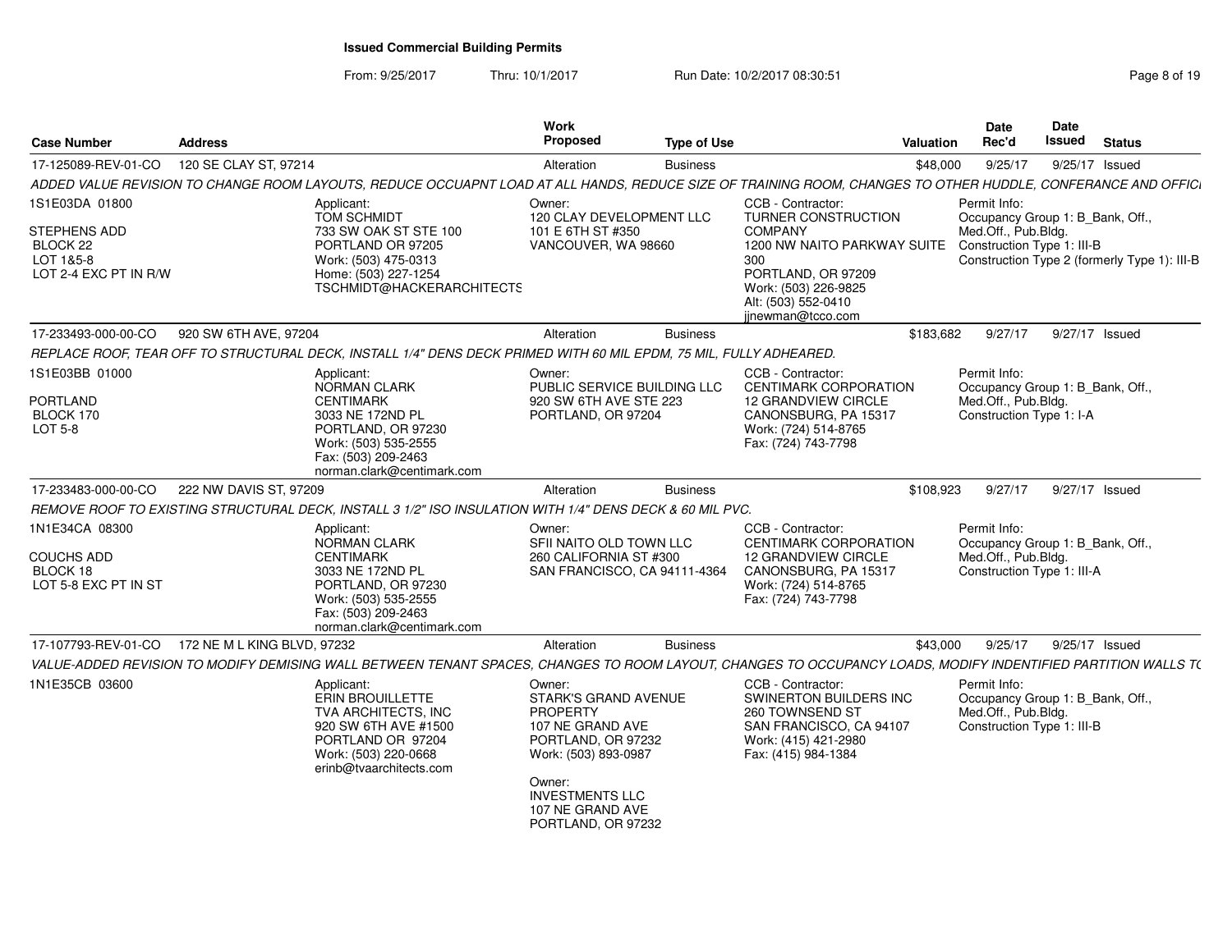From: 9/25/2017Thru: 10/1/2017 **Run Date: 10/2/2017 08:30:51 Page 8 of 19 Page 8 of 19** 

| <b>Case Number</b>                                                               | <b>Address</b>                                                                                                           |                                                                               | <b>Work</b><br>Proposed                                                                                                                                                                                  | <b>Type of Use</b>           | Valuation                                                                                                                                                                                  | <b>Date</b><br>Rec'd                                                                                  | Date<br>Issued | <b>Status</b>                                |
|----------------------------------------------------------------------------------|--------------------------------------------------------------------------------------------------------------------------|-------------------------------------------------------------------------------|----------------------------------------------------------------------------------------------------------------------------------------------------------------------------------------------------------|------------------------------|--------------------------------------------------------------------------------------------------------------------------------------------------------------------------------------------|-------------------------------------------------------------------------------------------------------|----------------|----------------------------------------------|
| 17-125089-REV-01-CO                                                              | 120 SE CLAY ST, 97214                                                                                                    |                                                                               | Alteration                                                                                                                                                                                               | <b>Business</b>              | \$48,000                                                                                                                                                                                   | 9/25/17                                                                                               | 9/25/17 Issued |                                              |
|                                                                                  |                                                                                                                          |                                                                               |                                                                                                                                                                                                          |                              | ADDED VALUE REVISION TO CHANGE ROOM LAYOUTS, REDUCE OCCUAPNT LOAD AT ALL HANDS, REDUCE SIZE OF TRAINING ROOM, CHANGES TO OTHER HUDDLE, CONFERANCE AND OFFICI                               |                                                                                                       |                |                                              |
| 1S1E03DA 01800<br>STEPHENS ADD<br>BLOCK 22<br>LOT 1&5-8<br>LOT 2-4 EXC PT IN R/W | Applicant:<br><b>TOM SCHMIDT</b><br>PORTLAND OR 97205<br>Work: (503) 475-0313<br>Home: (503) 227-1254                    | 733 SW OAK ST STE 100<br>TSCHMIDT@HACKERARCHITECTS                            | Owner:<br>120 CLAY DEVELOPMENT LLC<br>101 E 6TH ST #350<br>VANCOUVER, WA 98660                                                                                                                           |                              | CCB - Contractor:<br>TURNER CONSTRUCTION<br><b>COMPANY</b><br>1200 NW NAITO PARKWAY SUITE<br>300<br>PORTLAND, OR 97209<br>Work: (503) 226-9825<br>Alt: (503) 552-0410<br>iinewman@tcco.com | Permit Info:<br>Occupancy Group 1: B_Bank, Off.,<br>Med.Off., Pub.Bldg.<br>Construction Type 1: III-B |                | Construction Type 2 (formerly Type 1): III-B |
| 17-233493-000-00-CO                                                              | 920 SW 6TH AVE, 97204                                                                                                    |                                                                               | Alteration                                                                                                                                                                                               | <b>Business</b>              | \$183,682                                                                                                                                                                                  | 9/27/17                                                                                               |                | 9/27/17 Issued                               |
|                                                                                  | REPLACE ROOF, TEAR OFF TO STRUCTURAL DECK, INSTALL 1/4" DENS DECK PRIMED WITH 60 MIL EPDM, 75 MIL, FULLY ADHEARED.       |                                                                               |                                                                                                                                                                                                          |                              |                                                                                                                                                                                            |                                                                                                       |                |                                              |
| 1S1E03BB 01000<br>PORTLAND<br>BLOCK 170<br>LOT 5-8                               | Applicant:<br><b>NORMAN CLARK</b><br><b>CENTIMARK</b><br>3033 NE 172ND PL<br>Work: (503) 535-2555<br>Fax: (503) 209-2463 | PORTLAND, OR 97230<br>norman.clark@centimark.com                              | Owner:<br>PUBLIC SERVICE BUILDING LLC<br>920 SW 6TH AVE STE 223<br>PORTLAND, OR 97204                                                                                                                    |                              | CCB - Contractor:<br><b>CENTIMARK CORPORATION</b><br><b>12 GRANDVIEW CIRCLE</b><br>CANONSBURG, PA 15317<br>Work: (724) 514-8765<br>Fax: (724) 743-7798                                     | Permit Info:<br>Occupancy Group 1: B Bank, Off.,<br>Med.Off., Pub.Bldg.<br>Construction Type 1: I-A   |                |                                              |
| 17-233483-000-00-CO                                                              | 222 NW DAVIS ST, 97209                                                                                                   |                                                                               | Alteration                                                                                                                                                                                               | <b>Business</b>              | \$108,923                                                                                                                                                                                  | 9/27/17                                                                                               |                | 9/27/17 Issued                               |
|                                                                                  | REMOVE ROOF TO EXISTING STRUCTURAL DECK, INSTALL 3 1/2" ISO INSULATION WITH 1/4" DENS DECK & 60 MIL PVC.                 |                                                                               |                                                                                                                                                                                                          |                              |                                                                                                                                                                                            |                                                                                                       |                |                                              |
| 1N1E34CA 08300<br>COUCHS ADD<br>BLOCK 18<br>LOT 5-8 EXC PT IN ST                 | Applicant:<br><b>NORMAN CLARK</b><br><b>CENTIMARK</b><br>3033 NE 172ND PL<br>Work: (503) 535-2555<br>Fax: (503) 209-2463 | PORTLAND, OR 97230<br>norman.clark@centimark.com                              | Owner:<br>SFII NAITO OLD TOWN LLC<br>260 CALIFORNIA ST #300                                                                                                                                              | SAN FRANCISCO, CA 94111-4364 | CCB - Contractor:<br><b>CENTIMARK CORPORATION</b><br><b>12 GRANDVIEW CIRCLE</b><br>CANONSBURG, PA 15317<br>Work: (724) 514-8765<br>Fax: (724) 743-7798                                     | Permit Info:<br>Occupancy Group 1: B Bank, Off.,<br>Med.Off., Pub.Bldg.<br>Construction Type 1: III-A |                |                                              |
| 17-107793-REV-01-CO                                                              | 172 NE M L KING BLVD, 97232                                                                                              |                                                                               | Alteration                                                                                                                                                                                               | <b>Business</b>              | \$43,000                                                                                                                                                                                   | 9/25/17                                                                                               |                | 9/25/17 Issued                               |
|                                                                                  |                                                                                                                          |                                                                               |                                                                                                                                                                                                          |                              | VALUE-ADDED REVISION TO MODIFY DEMISING WALL BETWEEN TENANT SPACES, CHANGES TO ROOM LAYOUT, CHANGES TO OCCUPANCY LOADS, MODIFY INDENTIFIED PARTITION WALLS T(                              |                                                                                                       |                |                                              |
| 1N1E35CB 03600                                                                   | Applicant:<br>ERIN BROUILLETTE<br>PORTLAND OR 97204<br>Work: (503) 220-0668                                              | <b>TVA ARCHITECTS, INC</b><br>920 SW 6TH AVE #1500<br>erinb@tvaarchitects.com | Owner:<br><b>STARK'S GRAND AVENUE</b><br><b>PROPERTY</b><br>107 NE GRAND AVE<br>PORTLAND, OR 97232<br>Work: (503) 893-0987<br>Owner:<br><b>INVESTMENTS LLC</b><br>107 NE GRAND AVE<br>PORTLAND, OR 97232 |                              | CCB - Contractor:<br>SWINERTON BUILDERS INC<br>260 TOWNSEND ST<br>SAN FRANCISCO, CA 94107<br>Work: (415) 421-2980<br>Fax: (415) 984-1384                                                   | Permit Info:<br>Occupancy Group 1: B_Bank, Off.,<br>Med.Off., Pub.Bldg.<br>Construction Type 1: III-B |                |                                              |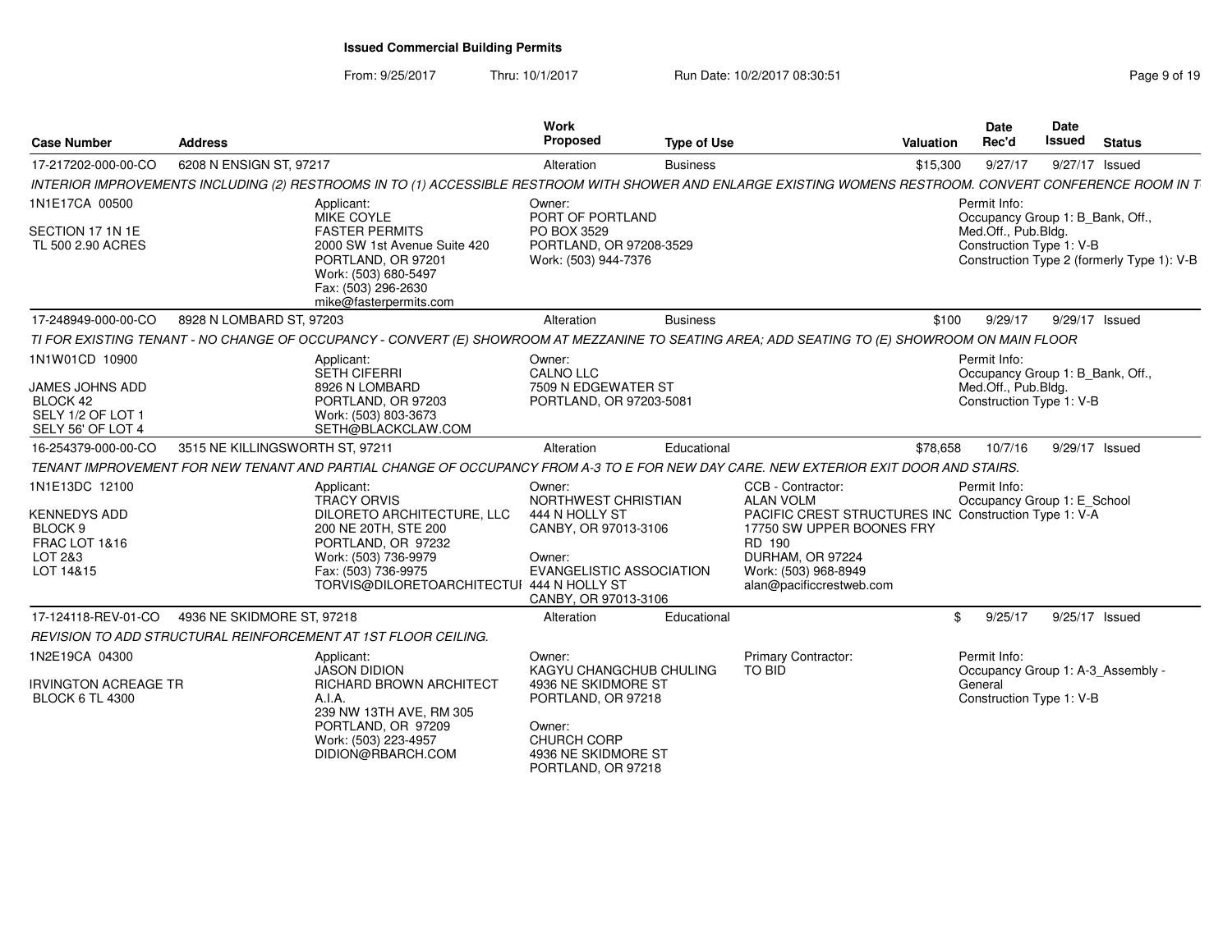From: 9/25/2017

Thru: 10/1/2017 **Run Date: 10/2/2017 08:30:51 Page 9 of 19 Page 9 of 19** 

| <b>Case Number</b>                                                                                              | <b>Address</b>                  |                                                                                                                                                                                                          | <b>Work</b><br><b>Proposed</b>                                                                                                                              | <b>Type of Use</b> | Valuation                                                                                                                                                                                                     |          | Date<br>Rec'd                                                                                       | <b>Date</b><br><b>Issued</b> | <b>Status</b>                              |
|-----------------------------------------------------------------------------------------------------------------|---------------------------------|----------------------------------------------------------------------------------------------------------------------------------------------------------------------------------------------------------|-------------------------------------------------------------------------------------------------------------------------------------------------------------|--------------------|---------------------------------------------------------------------------------------------------------------------------------------------------------------------------------------------------------------|----------|-----------------------------------------------------------------------------------------------------|------------------------------|--------------------------------------------|
| 17-217202-000-00-CO                                                                                             | 6208 N ENSIGN ST, 97217         |                                                                                                                                                                                                          | Alteration                                                                                                                                                  | <b>Business</b>    |                                                                                                                                                                                                               | \$15,300 | 9/27/17                                                                                             |                              | 9/27/17 Issued                             |
|                                                                                                                 |                                 | INTERIOR IMPROVEMENTS INCLUDING (2) RESTROOMS IN TO (1) ACCESSIBLE RESTROOM WITH SHOWER AND ENLARGE EXISTING WOMENS RESTROOM. CONVERT CONFERENCE ROOM IN T                                               |                                                                                                                                                             |                    |                                                                                                                                                                                                               |          |                                                                                                     |                              |                                            |
| 1N1E17CA 00500<br>SECTION 17 1N 1E<br>TL 500 2.90 ACRES                                                         |                                 | Applicant:<br>MIKE COYLE<br><b>FASTER PERMITS</b><br>2000 SW 1st Avenue Suite 420<br>PORTLAND, OR 97201<br>Work: (503) 680-5497<br>Fax: (503) 296-2630<br>mike@fasterpermits.com                         | Owner:<br>PORT OF PORTLAND<br>PO BOX 3529<br>PORTLAND, OR 97208-3529<br>Work: (503) 944-7376                                                                |                    |                                                                                                                                                                                                               |          | Permit Info:<br>Occupancy Group 1: B_Bank, Off.,<br>Med.Off., Pub.Bldg.<br>Construction Type 1: V-B |                              | Construction Type 2 (formerly Type 1): V-B |
| 17-248949-000-00-CO                                                                                             | 8928 N LOMBARD ST, 97203        |                                                                                                                                                                                                          | Alteration                                                                                                                                                  | <b>Business</b>    |                                                                                                                                                                                                               | \$100    | 9/29/17                                                                                             |                              | 9/29/17 Issued                             |
|                                                                                                                 |                                 | TI FOR EXISTING TENANT - NO CHANGE OF OCCUPANCY - CONVERT (E) SHOWROOM AT MEZZANINE TO SEATING AREA; ADD SEATING TO (E) SHOWROOM ON MAIN FLOOR                                                           |                                                                                                                                                             |                    |                                                                                                                                                                                                               |          |                                                                                                     |                              |                                            |
| 1N1W01CD 10900<br>JAMES JOHNS ADD<br>BLOCK 42<br>SELY 1/2 OF LOT 1<br>SELY 56' OF LOT 4                         |                                 | Applicant:<br><b>SETH CIFERRI</b><br>8926 N LOMBARD<br>PORTLAND, OR 97203<br>Work: (503) 803-3673<br>SETH@BLACKCLAW.COM                                                                                  | Owner:<br><b>CALNO LLC</b><br>7509 N EDGEWATER ST<br>PORTLAND, OR 97203-5081                                                                                |                    |                                                                                                                                                                                                               |          | Permit Info:<br>Occupancy Group 1: B_Bank, Off.,<br>Med.Off., Pub.Bldg.<br>Construction Type 1: V-B |                              |                                            |
| 16-254379-000-00-CO                                                                                             | 3515 NE KILLINGSWORTH ST, 97211 |                                                                                                                                                                                                          | Alteration                                                                                                                                                  | Educational        |                                                                                                                                                                                                               | \$78,658 | 10/7/16                                                                                             |                              | 9/29/17 Issued                             |
|                                                                                                                 |                                 | TENANT IMPROVEMENT FOR NEW TENANT AND PARTIAL CHANGE OF OCCUPANCY FROM A-3 TO E FOR NEW DAY CARE. NEW EXTERIOR EXIT DOOR AND STAIRS.                                                                     |                                                                                                                                                             |                    |                                                                                                                                                                                                               |          |                                                                                                     |                              |                                            |
| 1N1E13DC 12100<br><b>KENNEDYS ADD</b><br>BLOCK <sub>9</sub><br><b>FRAC LOT 1&amp;16</b><br>LOT 2&3<br>LOT 14&15 |                                 | Applicant:<br><b>TRACY ORVIS</b><br>DILORETO ARCHITECTURE, LLC<br>200 NE 20TH, STE 200<br>PORTLAND, OR 97232<br>Work: (503) 736-9979<br>Fax: (503) 736-9975<br>TORVIS@DILORETOARCHITECTUI 444 N HOLLY ST | Owner:<br>NORTHWEST CHRISTIAN<br>444 N HOLLY ST<br>CANBY, OR 97013-3106<br>Owner:<br><b>EVANGELISTIC ASSOCIATION</b><br>CANBY, OR 97013-3106                |                    | CCB - Contractor:<br><b>ALAN VOLM</b><br>PACIFIC CREST STRUCTURES INC Construction Type 1: V-A<br>17750 SW UPPER BOONES FRY<br>RD 190<br>DURHAM, OR 97224<br>Work: (503) 968-8949<br>alan@pacificcrestweb.com |          | Permit Info:<br>Occupancy Group 1: E School                                                         |                              |                                            |
| 17-124118-REV-01-CO                                                                                             | 4936 NE SKIDMORE ST, 97218      |                                                                                                                                                                                                          | Alteration                                                                                                                                                  | Educational        |                                                                                                                                                                                                               | \$       | 9/25/17                                                                                             |                              | 9/25/17 Issued                             |
|                                                                                                                 |                                 | REVISION TO ADD STRUCTURAL REINFORCEMENT AT 1ST FLOOR CEILING.                                                                                                                                           |                                                                                                                                                             |                    |                                                                                                                                                                                                               |          |                                                                                                     |                              |                                            |
| 1N2E19CA 04300<br><b>IRVINGTON ACREAGE TR</b><br><b>BLOCK 6 TL 4300</b>                                         |                                 | Applicant:<br><b>JASON DIDION</b><br>RICHARD BROWN ARCHITECT<br>A.I.A.<br>239 NW 13TH AVE, RM 305<br>PORTLAND, OR 97209<br>Work: (503) 223-4957<br>DIDION@RBARCH.COM                                     | Owner:<br>KAGYU CHANGCHUB CHULING<br>4936 NE SKIDMORE ST<br>PORTLAND, OR 97218<br>Owner:<br><b>CHURCH CORP</b><br>4936 NE SKIDMORE ST<br>PORTLAND, OR 97218 |                    | Primary Contractor:<br>TO BID                                                                                                                                                                                 |          | Permit Info:<br>General<br>Construction Type 1: V-B                                                 |                              | Occupancy Group 1: A-3_Assembly -          |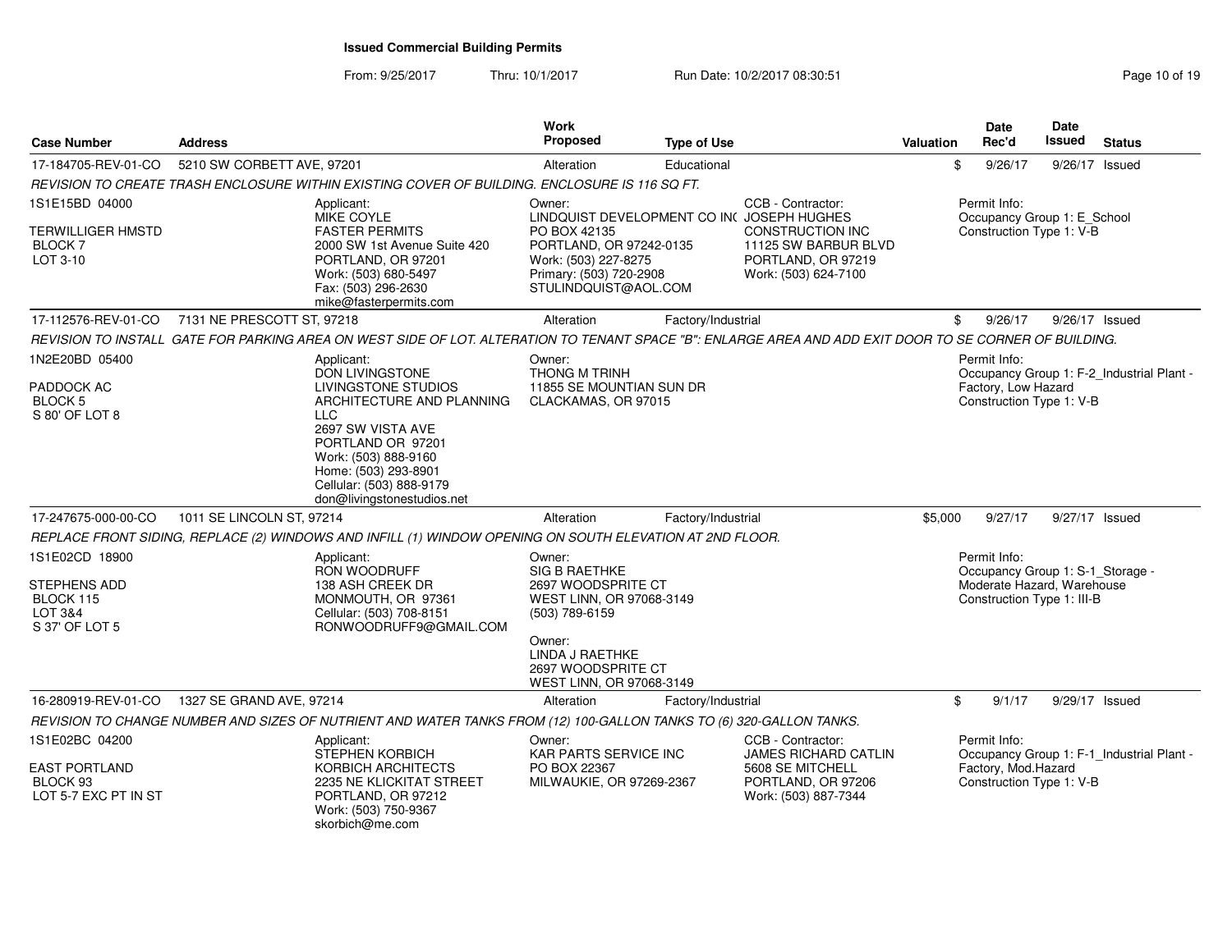From: 9/25/2017Thru: 10/1/2017 **Run Date: 10/2/2017 08:30:51 Research 2010 19** Page 10 of 19

| <b>Case Number</b>                                                  | <b>Address</b>                                                                                                                                          |                                                                                                                                                                               | Work<br><b>Proposed</b>                                                                                            | <b>Type of Use</b> |                                                                                               | Valuation | <b>Date</b><br>Rec'd                                           | <b>Date</b><br><b>Issued</b> | <b>Status</b>                             |
|---------------------------------------------------------------------|---------------------------------------------------------------------------------------------------------------------------------------------------------|-------------------------------------------------------------------------------------------------------------------------------------------------------------------------------|--------------------------------------------------------------------------------------------------------------------|--------------------|-----------------------------------------------------------------------------------------------|-----------|----------------------------------------------------------------|------------------------------|-------------------------------------------|
| 17-184705-REV-01-CO                                                 | 5210 SW CORBETT AVE, 97201                                                                                                                              |                                                                                                                                                                               | Alteration                                                                                                         | Educational        |                                                                                               | \$        | 9/26/17                                                        | 9/26/17 Issued               |                                           |
|                                                                     | REVISION TO CREATE TRASH ENCLOSURE WITHIN EXISTING COVER OF BUILDING. ENCLOSURE IS 116 SQ FT.                                                           |                                                                                                                                                                               |                                                                                                                    |                    |                                                                                               |           |                                                                |                              |                                           |
| 1S1E15BD 04000                                                      | Applicant:<br>MIKE COYLE                                                                                                                                |                                                                                                                                                                               | Owner:                                                                                                             |                    | CCB - Contractor:<br>LINDQUIST DEVELOPMENT CO IN( JOSEPH HUGHES                               |           | Permit Info:<br>Occupancy Group 1: E_School                    |                              |                                           |
| <b>TERWILLIGER HMSTD</b><br>BLOCK 7<br>LOT 3-10                     |                                                                                                                                                         | <b>FASTER PERMITS</b><br>2000 SW 1st Avenue Suite 420<br>PORTLAND, OR 97201<br>Work: (503) 680-5497<br>Fax: (503) 296-2630<br>mike@fasterpermits.com                          | PO BOX 42135<br>PORTLAND, OR 97242-0135<br>Work: (503) 227-8275<br>Primary: (503) 720-2908<br>STULINDQUIST@AOL.COM |                    | <b>CONSTRUCTION INC</b><br>11125 SW BARBUR BLVD<br>PORTLAND, OR 97219<br>Work: (503) 624-7100 |           | Construction Type 1: V-B                                       |                              |                                           |
| 17-112576-REV-01-CO                                                 | 7131 NE PRESCOTT ST, 97218                                                                                                                              |                                                                                                                                                                               | Alteration                                                                                                         | Factory/Industrial |                                                                                               | \$        | 9/26/17                                                        | $9/26/17$ Issued             |                                           |
|                                                                     | REVISION TO INSTALL GATE FOR PARKING AREA ON WEST SIDE OF LOT. ALTERATION TO TENANT SPACE "B": ENLARGE AREA AND ADD EXIT DOOR TO SE CORNER OF BUILDING. |                                                                                                                                                                               |                                                                                                                    |                    |                                                                                               |           |                                                                |                              |                                           |
| 1N2E20BD 05400<br>PADDOCK AC                                        | Applicant:                                                                                                                                              | <b>DON LIVINGSTONE</b><br>LIVINGSTONE STUDIOS                                                                                                                                 | Owner:<br><b>THONG M TRINH</b><br>11855 SE MOUNTIAN SUN DR                                                         |                    |                                                                                               |           | Permit Info:<br>Factory, Low Hazard                            |                              | Occupancy Group 1: F-2 Industrial Plant - |
| <b>BLOCK 5</b><br>S 80' OF LOT 8                                    | <b>LLC</b>                                                                                                                                              | ARCHITECTURE AND PLANNING<br>2697 SW VISTA AVE<br>PORTLAND OR 97201<br>Work: (503) 888-9160<br>Home: (503) 293-8901<br>Cellular: (503) 888-9179<br>don@livingstonestudios.net | CLACKAMAS, OR 97015                                                                                                |                    |                                                                                               |           | Construction Type 1: V-B                                       |                              |                                           |
| 17-247675-000-00-CO                                                 | 1011 SE LINCOLN ST, 97214                                                                                                                               |                                                                                                                                                                               | Alteration                                                                                                         | Factory/Industrial |                                                                                               | \$5,000   | 9/27/17                                                        | 9/27/17 Issued               |                                           |
|                                                                     | REPLACE FRONT SIDING, REPLACE (2) WINDOWS AND INFILL (1) WINDOW OPENING ON SOUTH ELEVATION AT 2ND FLOOR.                                                |                                                                                                                                                                               |                                                                                                                    |                    |                                                                                               |           |                                                                |                              |                                           |
| 1S1E02CD 18900                                                      | Applicant:                                                                                                                                              |                                                                                                                                                                               | Owner:                                                                                                             |                    |                                                                                               |           | Permit Info:                                                   |                              |                                           |
| <b>STEPHENS ADD</b>                                                 | RON WOODRUFF                                                                                                                                            | 138 ASH CREEK DR                                                                                                                                                              | SIG B RAETHKE<br>2697 WOODSPRITE CT                                                                                |                    |                                                                                               |           | Occupancy Group 1: S-1_Storage -<br>Moderate Hazard, Warehouse |                              |                                           |
| BLOCK 115                                                           |                                                                                                                                                         | MONMOUTH, OR 97361                                                                                                                                                            | WEST LINN, OR 97068-3149                                                                                           |                    |                                                                                               |           | Construction Type 1: III-B                                     |                              |                                           |
| LOT 3&4<br>S 37' OF LOT 5                                           |                                                                                                                                                         | Cellular: (503) 708-8151<br>RONWOODRUFF9@GMAIL.COM                                                                                                                            | (503) 789-6159                                                                                                     |                    |                                                                                               |           |                                                                |                              |                                           |
|                                                                     |                                                                                                                                                         |                                                                                                                                                                               | Owner:<br>LINDA J RAETHKE<br>2697 WOODSPRITE CT<br>WEST LINN, OR 97068-3149                                        |                    |                                                                                               |           |                                                                |                              |                                           |
| 16-280919-REV-01-CO                                                 | 1327 SE GRAND AVE, 97214                                                                                                                                |                                                                                                                                                                               | Alteration                                                                                                         | Factory/Industrial |                                                                                               | \$        | 9/1/17                                                         | 9/29/17 Issued               |                                           |
|                                                                     | REVISION TO CHANGE NUMBER AND SIZES OF NUTRIENT AND WATER TANKS FROM (12) 100-GALLON TANKS TO (6) 320-GALLON TANKS.                                     |                                                                                                                                                                               |                                                                                                                    |                    |                                                                                               |           |                                                                |                              |                                           |
| 1S1E02BC 04200                                                      | Applicant:                                                                                                                                              | <b>STEPHEN KORBICH</b>                                                                                                                                                        | Owner:<br>KAR PARTS SERVICE INC                                                                                    |                    | CCB - Contractor:<br><b>JAMES RICHARD CATLIN</b>                                              |           | Permit Info:                                                   |                              | Occupancy Group 1: F-1_Industrial Plant - |
| <b>EAST PORTLAND</b><br>BLOCK <sub>93</sub><br>LOT 5-7 EXC PT IN ST | skorbich@me.com                                                                                                                                         | KORBICH ARCHITECTS<br>2235 NE KLICKITAT STREET<br>PORTLAND, OR 97212<br>Work: (503) 750-9367                                                                                  | PO BOX 22367<br>MILWAUKIE, OR 97269-2367                                                                           |                    | 5608 SE MITCHELL<br>PORTLAND, OR 97206<br>Work: (503) 887-7344                                |           | Factory, Mod.Hazard<br>Construction Type 1: V-B                |                              |                                           |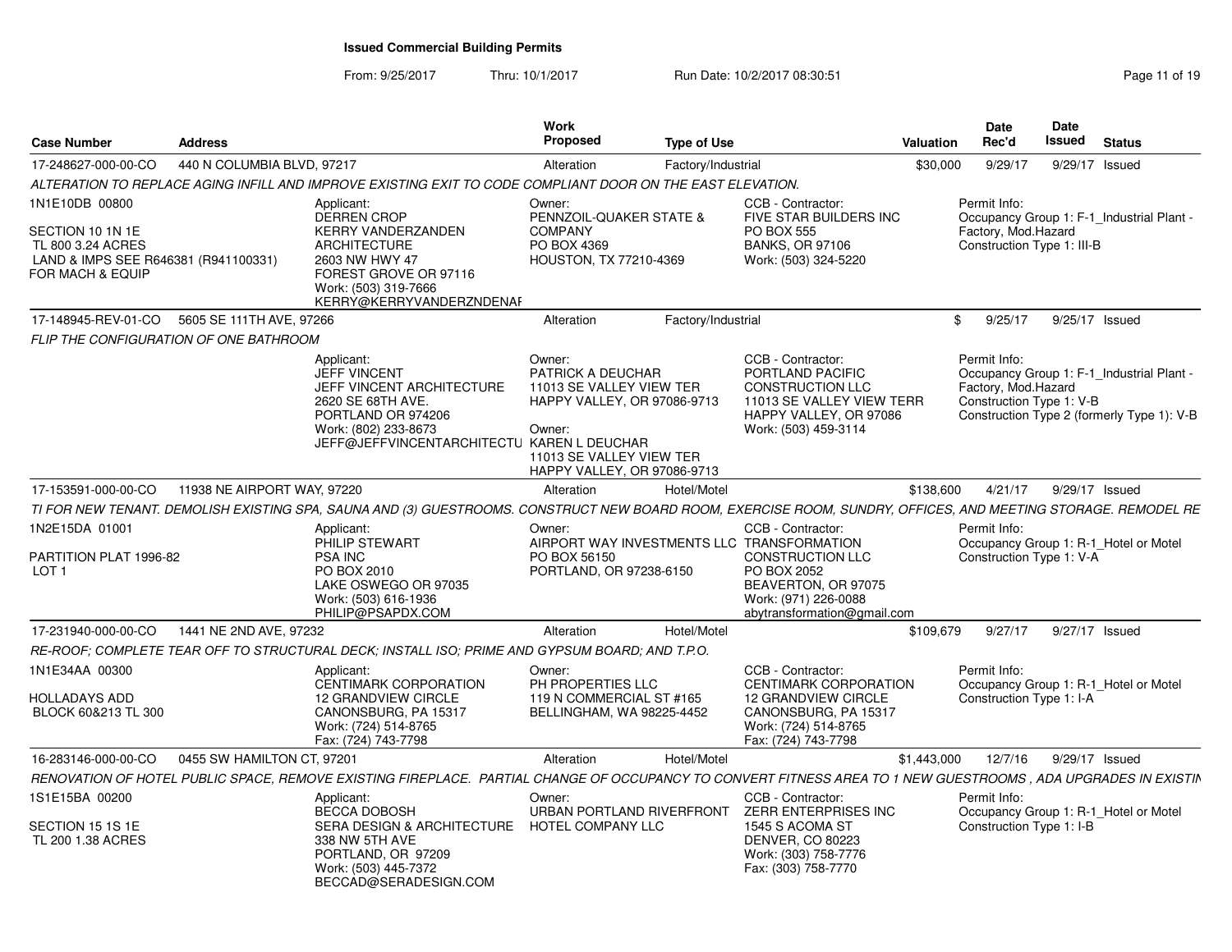From: 9/25/2017Thru: 10/1/2017 **Run Date: 10/2/2017 08:30:51 Research 2010** Page 11 of 19

| <b>Case Number</b>                                                                                                  | <b>Address</b>              |                                                                                                                                                                                     | <b>Work</b><br>Proposed                                                                                                                                     | <b>Type of Use</b> |                                                                                                                                                                                         | Valuation   | <b>Date</b><br>Rec'd                                              | <b>Date</b><br>Issued | <b>Status</b>                                                                           |
|---------------------------------------------------------------------------------------------------------------------|-----------------------------|-------------------------------------------------------------------------------------------------------------------------------------------------------------------------------------|-------------------------------------------------------------------------------------------------------------------------------------------------------------|--------------------|-----------------------------------------------------------------------------------------------------------------------------------------------------------------------------------------|-------------|-------------------------------------------------------------------|-----------------------|-----------------------------------------------------------------------------------------|
| 17-248627-000-00-CO                                                                                                 | 440 N COLUMBIA BLVD, 97217  |                                                                                                                                                                                     | Alteration                                                                                                                                                  | Factory/Industrial |                                                                                                                                                                                         | \$30,000    | 9/29/17                                                           | 9/29/17               | Issued                                                                                  |
|                                                                                                                     |                             | ALTERATION TO REPLACE AGING INFILL AND IMPROVE EXISTING EXIT TO CODE COMPLIANT DOOR ON THE EAST ELEVATION.                                                                          |                                                                                                                                                             |                    |                                                                                                                                                                                         |             |                                                                   |                       |                                                                                         |
| 1N1E10DB 00800<br>SECTION 10 1N 1E<br>TL 800 3.24 ACRES<br>LAND & IMPS SEE R646381 (R941100331)<br>FOR MACH & EQUIP |                             | Applicant:<br><b>DERREN CROP</b><br><b>KERRY VANDERZANDEN</b><br><b>ARCHITECTURE</b><br>2603 NW HWY 47<br>FOREST GROVE OR 97116<br>Work: (503) 319-7666<br>KERRY@KERRYVANDERZNDENAF | Owner:<br>PENNZOIL-QUAKER STATE &<br><b>COMPANY</b><br>PO BOX 4369<br>HOUSTON, TX 77210-4369                                                                |                    | CCB - Contractor:<br>FIVE STAR BUILDERS INC<br><b>PO BOX 555</b><br><b>BANKS, OR 97106</b><br>Work: (503) 324-5220                                                                      |             | Permit Info:<br>Factory, Mod.Hazard<br>Construction Type 1: III-B |                       | Occupancy Group 1: F-1_Industrial Plant -                                               |
| 17-148945-REV-01-CO                                                                                                 | 5605 SE 111TH AVE, 97266    |                                                                                                                                                                                     | Alteration                                                                                                                                                  | Factory/Industrial |                                                                                                                                                                                         |             | \$<br>9/25/17                                                     |                       | 9/25/17 Issued                                                                          |
| FLIP THE CONFIGURATION OF ONE BATHROOM                                                                              |                             |                                                                                                                                                                                     |                                                                                                                                                             |                    |                                                                                                                                                                                         |             |                                                                   |                       |                                                                                         |
|                                                                                                                     |                             | Applicant:<br><b>JEFF VINCENT</b><br>JEFF VINCENT ARCHITECTURE<br>2620 SE 68TH AVE.<br>PORTLAND OR 974206<br>Work: (802) 233-8673<br>JEFF@JEFFVINCENTARCHITECTU KAREN L DEUCHAR     | Owner:<br>PATRICK A DEUCHAR<br>11013 SE VALLEY VIEW TER<br>HAPPY VALLEY, OR 97086-9713<br>Owner:<br>11013 SE VALLEY VIEW TER<br>HAPPY VALLEY, OR 97086-9713 |                    | CCB - Contractor:<br>PORTLAND PACIFIC<br><b>CONSTRUCTION LLC</b><br>11013 SE VALLEY VIEW TERR<br>HAPPY VALLEY, OR 97086<br>Work: (503) 459-3114                                         |             | Permit Info:<br>Factory, Mod.Hazard<br>Construction Type 1: V-B   |                       | Occupancy Group 1: F-1 Industrial Plant -<br>Construction Type 2 (formerly Type 1): V-B |
| 17-153591-000-00-CO                                                                                                 | 11938 NE AIRPORT WAY, 97220 |                                                                                                                                                                                     | Alteration                                                                                                                                                  | Hotel/Motel        |                                                                                                                                                                                         | \$138,600   | 4/21/17                                                           |                       | 9/29/17 Issued                                                                          |
|                                                                                                                     |                             | TI FOR NEW TENANT. DEMOLISH EXISTING SPA, SAUNA AND (3) GUESTROOMS. CONSTRUCT NEW BOARD ROOM, EXERCISE ROOM, SUNDRY, OFFICES, AND MEETING STORAGE. REMODEL RE                       |                                                                                                                                                             |                    |                                                                                                                                                                                         |             |                                                                   |                       |                                                                                         |
| 1N2E15DA 01001<br>PARTITION PLAT 1996-82<br>LOT <sub>1</sub>                                                        |                             | Applicant:<br>PHILIP STEWART<br><b>PSA INC</b><br>PO BOX 2010<br>LAKE OSWEGO OR 97035<br>Work: (503) 616-1936<br>PHILIP@PSAPDX.COM                                                  | Owner:<br>PO BOX 56150<br>PORTLAND, OR 97238-6150                                                                                                           |                    | CCB - Contractor:<br>AIRPORT WAY INVESTMENTS LLC TRANSFORMATION<br><b>CONSTRUCTION LLC</b><br>PO BOX 2052<br>BEAVERTON, OR 97075<br>Work: (971) 226-0088<br>abytransformation@gmail.com |             | Permit Info:<br>Construction Type 1: V-A                          |                       | Occupancy Group 1: R-1_Hotel or Motel                                                   |
| 17-231940-000-00-CO                                                                                                 | 1441 NE 2ND AVE, 97232      |                                                                                                                                                                                     | Alteration                                                                                                                                                  | Hotel/Motel        |                                                                                                                                                                                         | \$109,679   | 9/27/17                                                           |                       | 9/27/17 Issued                                                                          |
|                                                                                                                     |                             | RE-ROOF; COMPLETE TEAR OFF TO STRUCTURAL DECK; INSTALL ISO; PRIME AND GYPSUM BOARD; AND T.P.O.                                                                                      |                                                                                                                                                             |                    |                                                                                                                                                                                         |             |                                                                   |                       |                                                                                         |
| 1N1E34AA 00300<br><b>HOLLADAYS ADD</b><br>BLOCK 60&213 TL 300                                                       |                             | Applicant:<br>CENTIMARK CORPORATION<br><b>12 GRANDVIEW CIRCLE</b><br>CANONSBURG, PA 15317<br>Work: (724) 514-8765<br>Fax: (724) 743-7798                                            | Owner:<br>PH PROPERTIES LLC<br>119 N COMMERCIAL ST #165<br>BELLINGHAM, WA 98225-4452                                                                        |                    | CCB - Contractor:<br><b>CENTIMARK CORPORATION</b><br><b>12 GRANDVIEW CIRCLE</b><br>CANONSBURG, PA 15317<br>Work: (724) 514-8765<br>Fax: (724) 743-7798                                  |             | Permit Info:<br>Construction Type 1: I-A                          |                       | Occupancy Group 1: R-1_Hotel or Motel                                                   |
| 16-283146-000-00-CO                                                                                                 | 0455 SW HAMILTON CT, 97201  |                                                                                                                                                                                     | Alteration                                                                                                                                                  | Hotel/Motel        |                                                                                                                                                                                         | \$1,443,000 | 12/7/16                                                           |                       | 9/29/17 Issued                                                                          |
|                                                                                                                     |                             | RENOVATION OF HOTEL PUBLIC SPACE, REMOVE EXISTING FIREPLACE. PARTIAL CHANGE OF OCCUPANCY TO CONVERT FITNESS AREA TO 1 NEW GUESTROOMS, ADA UPGRADES IN EXISTIN                       |                                                                                                                                                             |                    |                                                                                                                                                                                         |             |                                                                   |                       |                                                                                         |
| 1S1E15BA 00200<br>SECTION 15 1S 1E<br>TL 200 1.38 ACRES                                                             |                             | Applicant:<br><b>BECCA DOBOSH</b><br>SERA DESIGN & ARCHITECTURE HOTEL COMPANY LLC<br>338 NW 5TH AVE<br>PORTLAND, OR 97209<br>Work: (503) 445-7372<br>BECCAD@SERADESIGN.COM          | Owner:                                                                                                                                                      |                    | CCB - Contractor:<br>URBAN PORTLAND RIVERFRONT ZERR ENTERPRISES INC<br>1545 S ACOMA ST<br>DENVER, CO 80223<br>Work: (303) 758-7776<br>Fax: (303) 758-7770                               |             | Permit Info:<br>Construction Type 1: I-B                          |                       | Occupancy Group 1: R-1_Hotel or Motel                                                   |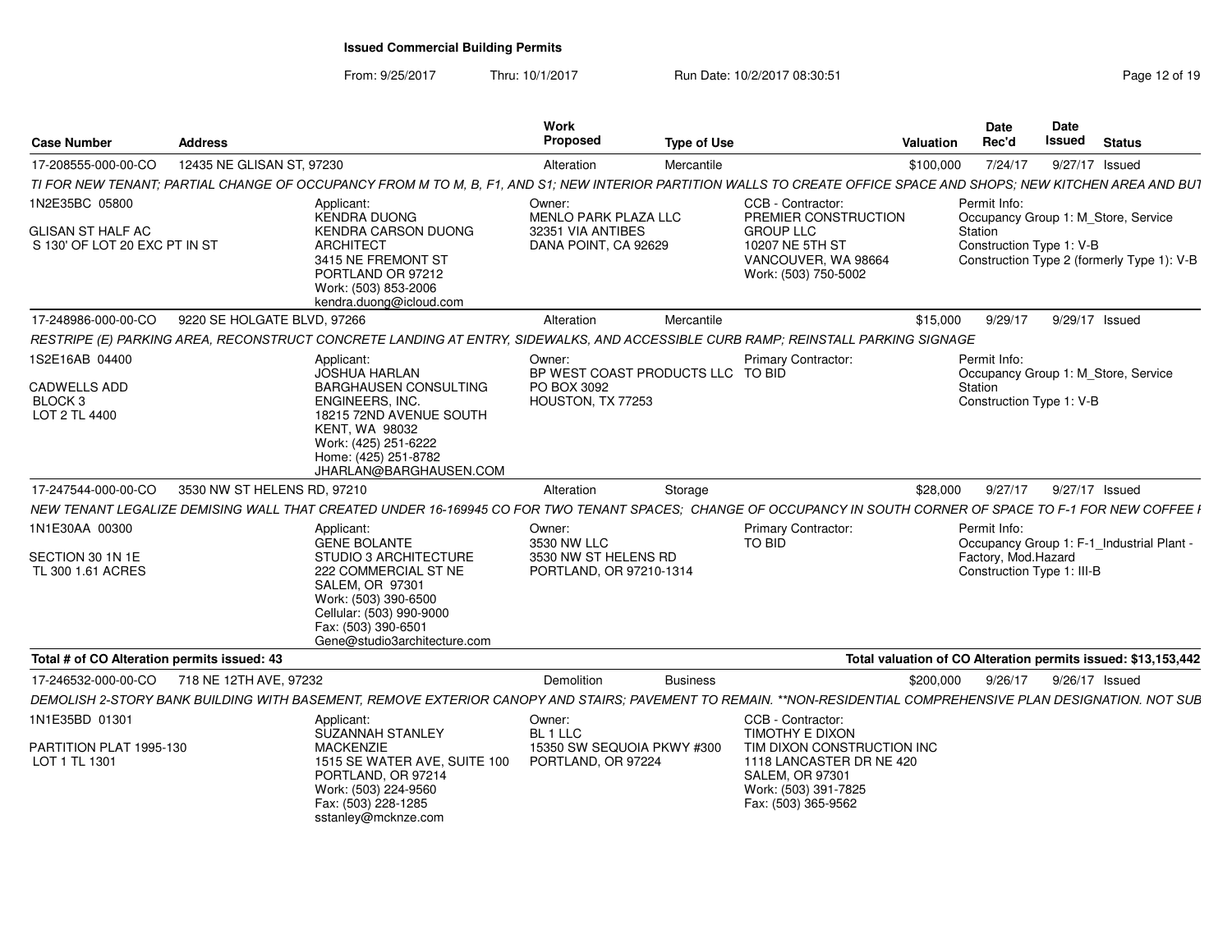From: 9/25/2017Thru: 10/1/2017 **Run Date: 10/2/2017 08:30:51 Research 2018** Page 12 of 19

| <b>Case Number</b>                                         | <b>Address</b>                                                                                           |                                                                                                                                                                                      | Work<br><b>Proposed</b>                                                | <b>Type of Use</b> |                                                                                                                                 | <b>Valuation</b>                                                                  | <b>Date</b><br>Rec'd                              | <b>Date</b><br><b>Issued</b> | <b>Status</b>                                                 |
|------------------------------------------------------------|----------------------------------------------------------------------------------------------------------|--------------------------------------------------------------------------------------------------------------------------------------------------------------------------------------|------------------------------------------------------------------------|--------------------|---------------------------------------------------------------------------------------------------------------------------------|-----------------------------------------------------------------------------------|---------------------------------------------------|------------------------------|---------------------------------------------------------------|
| 17-208555-000-00-CO                                        | 12435 NE GLISAN ST, 97230                                                                                |                                                                                                                                                                                      | Alteration                                                             | Mercantile         |                                                                                                                                 | \$100,000                                                                         | 7/24/17                                           | 9/27/17 Issued               |                                                               |
|                                                            |                                                                                                          | TI FOR NEW TENANT; PARTIAL CHANGE OF OCCUPANCY FROM M TO M, B, F1, AND S1; NEW INTERIOR PARTITION WALLS TO CREATE OFFICE SPACE AND SHOPS; NEW KITCHEN AREA AND BUT                   |                                                                        |                    |                                                                                                                                 |                                                                                   |                                                   |                              |                                                               |
| 1N2E35BC 05800                                             |                                                                                                          | Applicant:<br><b>KENDRA DUONG</b>                                                                                                                                                    | Owner:<br><b>MENLO PARK PLAZA LLC</b>                                  |                    | CCB - Contractor:<br>PREMIER CONSTRUCTION                                                                                       |                                                                                   | Permit Info:                                      |                              | Occupancy Group 1: M_Store, Service                           |
| <b>GLISAN ST HALF AC</b><br>S 130' OF LOT 20 EXC PT IN ST  |                                                                                                          | KENDRA CARSON DUONG<br><b>ARCHITECT</b><br>3415 NE FREMONT ST<br>PORTLAND OR 97212<br>Work: (503) 853-2006<br>kendra.duong@icloud.com                                                | 32351 VIA ANTIBES<br>DANA POINT, CA 92629                              |                    | <b>GROUP LLC</b><br>10207 NE 5TH ST<br>VANCOUVER, WA 98664<br>Work: (503) 750-5002                                              | Station<br>Construction Type 1: V-B<br>Construction Type 2 (formerly Type 1): V-B |                                                   |                              |                                                               |
| 17-248986-000-00-CO                                        | 9220 SE HOLGATE BLVD, 97266                                                                              |                                                                                                                                                                                      | Alteration                                                             | Mercantile         |                                                                                                                                 | \$15,000                                                                          | 9/29/17                                           | 9/29/17 Issued               |                                                               |
|                                                            |                                                                                                          | RESTRIPE (E) PARKING AREA, RECONSTRUCT CONCRETE LANDING AT ENTRY, SIDEWALKS, AND ACCESSIBLE CURB RAMP; REINSTALL PARKING SIGNAGE                                                     |                                                                        |                    |                                                                                                                                 |                                                                                   |                                                   |                              |                                                               |
| 1S2E16AB 04400                                             |                                                                                                          | Applicant:<br><b>JOSHUA HARLAN</b>                                                                                                                                                   | Owner:<br>BP WEST COAST PRODUCTS LLC TO BID                            |                    | Primary Contractor:                                                                                                             |                                                                                   | Permit Info:                                      |                              |                                                               |
| <b>CADWELLS ADD</b><br>BLOCK <sub>3</sub><br>LOT 2 TL 4400 |                                                                                                          | <b>BARGHAUSEN CONSULTING</b><br><b>ENGINEERS, INC.</b><br>18215 72ND AVENUE SOUTH<br><b>KENT, WA 98032</b><br>Work: (425) 251-6222<br>Home: (425) 251-8782<br>JHARLAN@BARGHAUSEN.COM | PO BOX 3092<br>HOUSTON, TX 77253                                       |                    |                                                                                                                                 | Occupancy Group 1: M Store, Service<br>Station<br>Construction Type 1: V-B        |                                                   |                              |                                                               |
| 17-247544-000-00-CO                                        | 3530 NW ST HELENS RD, 97210                                                                              |                                                                                                                                                                                      | Alteration                                                             | Storage            |                                                                                                                                 | \$28,000                                                                          | 9/27/17                                           | 9/27/17 Issued               |                                                               |
|                                                            |                                                                                                          | NEW TENANT LEGALIZE DEMISING WALL THAT CREATED UNDER 16-169945 CO FOR TWO TENANT SPACES: CHANGE OF OCCUPANCY IN SOUTH CORNER OF SPACE TO F-1 FOR NEW COFFEE I                        |                                                                        |                    |                                                                                                                                 |                                                                                   |                                                   |                              |                                                               |
| 1N1E30AA 00300                                             |                                                                                                          | Applicant:<br><b>GENE BOLANTE</b>                                                                                                                                                    | Owner:<br>3530 NW LLC                                                  |                    | Primary Contractor:<br>TO BID                                                                                                   |                                                                                   | Permit Info:                                      |                              | Occupancy Group 1: F-1_Industrial Plant -                     |
| SECTION 30 1N 1E<br>TL 300 1.61 ACRES                      |                                                                                                          | STUDIO 3 ARCHITECTURE<br>222 COMMERCIAL ST NE<br>SALEM, OR 97301<br>Work: (503) 390-6500<br>Cellular: (503) 990-9000<br>Fax: (503) 390-6501<br>Gene@studio3architecture.com          | 3530 NW ST HELENS RD<br>PORTLAND, OR 97210-1314                        |                    |                                                                                                                                 |                                                                                   | Factory, Mod.Hazard<br>Construction Type 1: III-B |                              |                                                               |
| Total # of CO Alteration permits issued: 43                |                                                                                                          |                                                                                                                                                                                      |                                                                        |                    |                                                                                                                                 |                                                                                   |                                                   |                              | Total valuation of CO Alteration permits issued: \$13,153,442 |
| 17-246532-000-00-CO                                        | 718 NE 12TH AVE, 97232                                                                                   |                                                                                                                                                                                      | <b>Demolition</b>                                                      | <b>Business</b>    |                                                                                                                                 | \$200,000                                                                         | 9/26/17                                           | 9/26/17 Issued               |                                                               |
|                                                            |                                                                                                          | DEMOLISH 2-STORY BANK BUILDING WITH BASEMENT, REMOVE EXTERIOR CANOPY AND STAIRS; PAVEMENT TO REMAIN. **NON-RESIDENTIAL COMPREHENSIVE PLAN DESIGNATION. NOT SUB                       |                                                                        |                    |                                                                                                                                 |                                                                                   |                                                   |                              |                                                               |
| 1N1E35BD 01301<br>PARTITION PLAT 1995-130<br>LOT 1 TL 1301 | Applicant:<br>SUZANNAH STANLEY<br><b>MACKENZIE</b><br>1515 SE WATER AVE, SUITE 100<br>PORTLAND, OR 97214 |                                                                                                                                                                                      | Owner:<br>BL 1 LLC<br>15350 SW SEQUOIA PKWY #300<br>PORTLAND, OR 97224 |                    | CCB - Contractor:<br><b>TIMOTHY E DIXON</b><br>TIM DIXON CONSTRUCTION INC<br>1118 LANCASTER DR NE 420<br><b>SALEM, OR 97301</b> |                                                                                   |                                                   |                              |                                                               |
|                                                            |                                                                                                          | Work: (503) 224-9560<br>Fax: (503) 228-1285<br>sstanley@mcknze.com                                                                                                                   |                                                                        |                    | Work: (503) 391-7825<br>Fax: (503) 365-9562                                                                                     |                                                                                   |                                                   |                              |                                                               |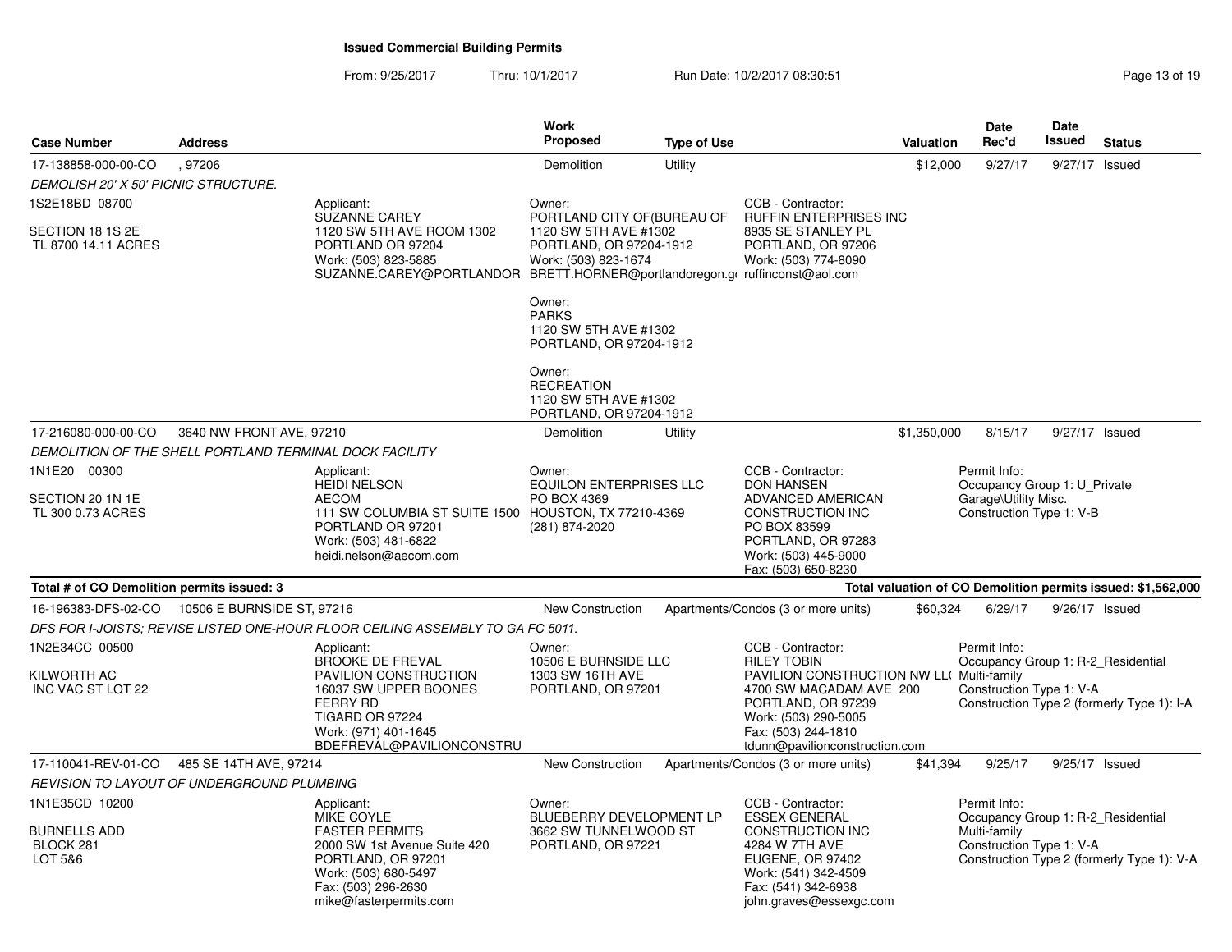From: 9/25/2017Thru: 10/1/2017 Run Date: 10/2/2017 08:30:51

| Page 13 of 19 |  |  |  |
|---------------|--|--|--|
|---------------|--|--|--|

| <b>Case Number</b>                                      | <b>Address</b>             |                                                                                                                                                                               | Work<br>Proposed                                                                                        | <b>Type of Use</b> |                                                                                                                                                                 | <b>Valuation</b>                                                                 | Date<br>Rec'd                                                                  | Date<br>Issued | <b>Status</b>                                                |
|---------------------------------------------------------|----------------------------|-------------------------------------------------------------------------------------------------------------------------------------------------------------------------------|---------------------------------------------------------------------------------------------------------|--------------------|-----------------------------------------------------------------------------------------------------------------------------------------------------------------|----------------------------------------------------------------------------------|--------------------------------------------------------------------------------|----------------|--------------------------------------------------------------|
| 17-138858-000-00-CO                                     | ,97206                     |                                                                                                                                                                               | Demolition                                                                                              | Utility            |                                                                                                                                                                 | \$12,000                                                                         | 9/27/17                                                                        | 9/27/17        | Issued                                                       |
| DEMOLISH 20' X 50' PICNIC STRUCTURE.                    |                            |                                                                                                                                                                               |                                                                                                         |                    |                                                                                                                                                                 |                                                                                  |                                                                                |                |                                                              |
| 1S2E18BD 08700                                          |                            | Applicant:                                                                                                                                                                    | Owner:                                                                                                  |                    | CCB - Contractor:                                                                                                                                               |                                                                                  |                                                                                |                |                                                              |
| SECTION 18 1S 2E<br>TL 8700 14.11 ACRES                 |                            | <b>SUZANNE CAREY</b><br>1120 SW 5TH AVE ROOM 1302<br>PORTLAND OR 97204<br>Work: (503) 823-5885<br>SUZANNE.CAREY@PORTLANDOR BRETT.HORNER@portlandoregon.gl ruffinconst@aol.com | PORTLAND CITY OF (BUREAU OF<br>1120 SW 5TH AVE #1302<br>PORTLAND, OR 97204-1912<br>Work: (503) 823-1674 |                    | <b>RUFFIN ENTERPRISES INC</b><br>8935 SE STANLEY PL<br>PORTLAND, OR 97206<br>Work: (503) 774-8090                                                               |                                                                                  |                                                                                |                |                                                              |
|                                                         |                            |                                                                                                                                                                               | Owner:<br><b>PARKS</b><br>1120 SW 5TH AVE #1302<br>PORTLAND, OR 97204-1912                              |                    |                                                                                                                                                                 |                                                                                  |                                                                                |                |                                                              |
|                                                         |                            |                                                                                                                                                                               | Owner:<br><b>RECREATION</b><br>1120 SW 5TH AVE #1302<br>PORTLAND, OR 97204-1912                         |                    |                                                                                                                                                                 |                                                                                  |                                                                                |                |                                                              |
| 17-216080-000-00-CO                                     | 3640 NW FRONT AVE, 97210   |                                                                                                                                                                               | Demolition                                                                                              | Utility            |                                                                                                                                                                 | \$1,350,000                                                                      | 8/15/17                                                                        | 9/27/17 Issued |                                                              |
| DEMOLITION OF THE SHELL PORTLAND TERMINAL DOCK FACILITY |                            |                                                                                                                                                                               |                                                                                                         |                    |                                                                                                                                                                 |                                                                                  |                                                                                |                |                                                              |
| 1N1E20 00300                                            |                            | Applicant:                                                                                                                                                                    | Owner:                                                                                                  |                    | CCB - Contractor:                                                                                                                                               |                                                                                  | Permit Info:                                                                   |                |                                                              |
| SECTION 20 1N 1E<br>TL 300 0.73 ACRES                   |                            | <b>HEIDI NELSON</b><br><b>AECOM</b><br>111 SW COLUMBIA ST SUITE 1500 HOUSTON, TX 77210-4369<br>PORTLAND OR 97201<br>Work: (503) 481-6822<br>heidi.nelson@aecom.com            | <b>EQUILON ENTERPRISES LLC</b><br>PO BOX 4369<br>(281) 874-2020                                         |                    | <b>DON HANSEN</b><br><b>ADVANCED AMERICAN</b><br>CONSTRUCTION INC<br>PO BOX 83599<br>PORTLAND, OR 97283<br>Work: (503) 445-9000<br>Fax: (503) 650-8230          | Occupancy Group 1: U_Private<br>Garage\Utility Misc.<br>Construction Type 1: V-B |                                                                                |                |                                                              |
| Total # of CO Demolition permits issued: 3              |                            |                                                                                                                                                                               |                                                                                                         |                    |                                                                                                                                                                 |                                                                                  |                                                                                |                | Total valuation of CO Demolition permits issued: \$1,562,000 |
| 16-196383-DFS-02-CO                                     | 10506 E BURNSIDE ST, 97216 |                                                                                                                                                                               | <b>New Construction</b>                                                                                 |                    | Apartments/Condos (3 or more units)                                                                                                                             | \$60,324                                                                         | 6/29/17                                                                        | 9/26/17 Issued |                                                              |
|                                                         |                            | DFS FOR I-JOISTS; REVISE LISTED ONE-HOUR FLOOR CEILING ASSEMBLY TO GA FC 5011.                                                                                                |                                                                                                         |                    |                                                                                                                                                                 |                                                                                  |                                                                                |                |                                                              |
| 1N2E34CC 00500<br>KILWORTH AC<br>INC VAC ST LOT 22      |                            | Applicant:<br><b>BROOKE DE FREVAL</b><br>PAVILION CONSTRUCTION<br>16037 SW UPPER BOONES<br><b>FERRY RD</b><br>TIGARD OR 97224                                                 | Owner:<br>10506 E BURNSIDE LLC<br>1303 SW 16TH AVE<br>PORTLAND, OR 97201                                |                    | CCB - Contractor:<br><b>RILEY TOBIN</b><br>PAVILION CONSTRUCTION NW LL( Multi-family<br>4700 SW MACADAM AVE 200<br>PORTLAND, OR 97239<br>Work: (503) 290-5005   |                                                                                  | Permit Info:<br>Occupancy Group 1: R-2_Residential<br>Construction Type 1: V-A |                | Construction Type 2 (formerly Type 1): I-A                   |
|                                                         |                            | Work: (971) 401-1645<br>BDEFREVAL@PAVILIONCONSTRU                                                                                                                             |                                                                                                         |                    | Fax: (503) 244-1810<br>tdunn@pavilionconstruction.com                                                                                                           |                                                                                  |                                                                                |                |                                                              |
| 17-110041-REV-01-CO                                     | 485 SE 14TH AVE, 97214     |                                                                                                                                                                               | New Construction                                                                                        |                    | Apartments/Condos (3 or more units)                                                                                                                             | \$41,394                                                                         | 9/25/17                                                                        | 9/25/17 Issued |                                                              |
| REVISION TO LAYOUT OF UNDERGROUND PLUMBING              |                            |                                                                                                                                                                               |                                                                                                         |                    |                                                                                                                                                                 |                                                                                  |                                                                                |                |                                                              |
| 1N1E35CD 10200                                          |                            | Applicant:                                                                                                                                                                    | Owner:                                                                                                  |                    | CCB - Contractor:                                                                                                                                               |                                                                                  | Permit Info:                                                                   |                |                                                              |
| <b>BURNELLS ADD</b><br>BLOCK 281<br>LOT 5&6             |                            | MIKE COYLE<br><b>FASTER PERMITS</b><br>2000 SW 1st Avenue Suite 420<br>PORTLAND, OR 97201<br>Work: (503) 680-5497<br>Fax: (503) 296-2630<br>mike@fasterpermits.com            | BLUEBERRY DEVELOPMENT LP<br>3662 SW TUNNELWOOD ST<br>PORTLAND, OR 97221                                 |                    | <b>ESSEX GENERAL</b><br>CONSTRUCTION INC<br>4284 W 7TH AVE<br><b>EUGENE, OR 97402</b><br>Work: (541) 342-4509<br>Fax: (541) 342-6938<br>john.graves@essexgc.com |                                                                                  | Occupancy Group 1: R-2 Residential<br>Multi-family<br>Construction Type 1: V-A |                | Construction Type 2 (formerly Type 1): V-A                   |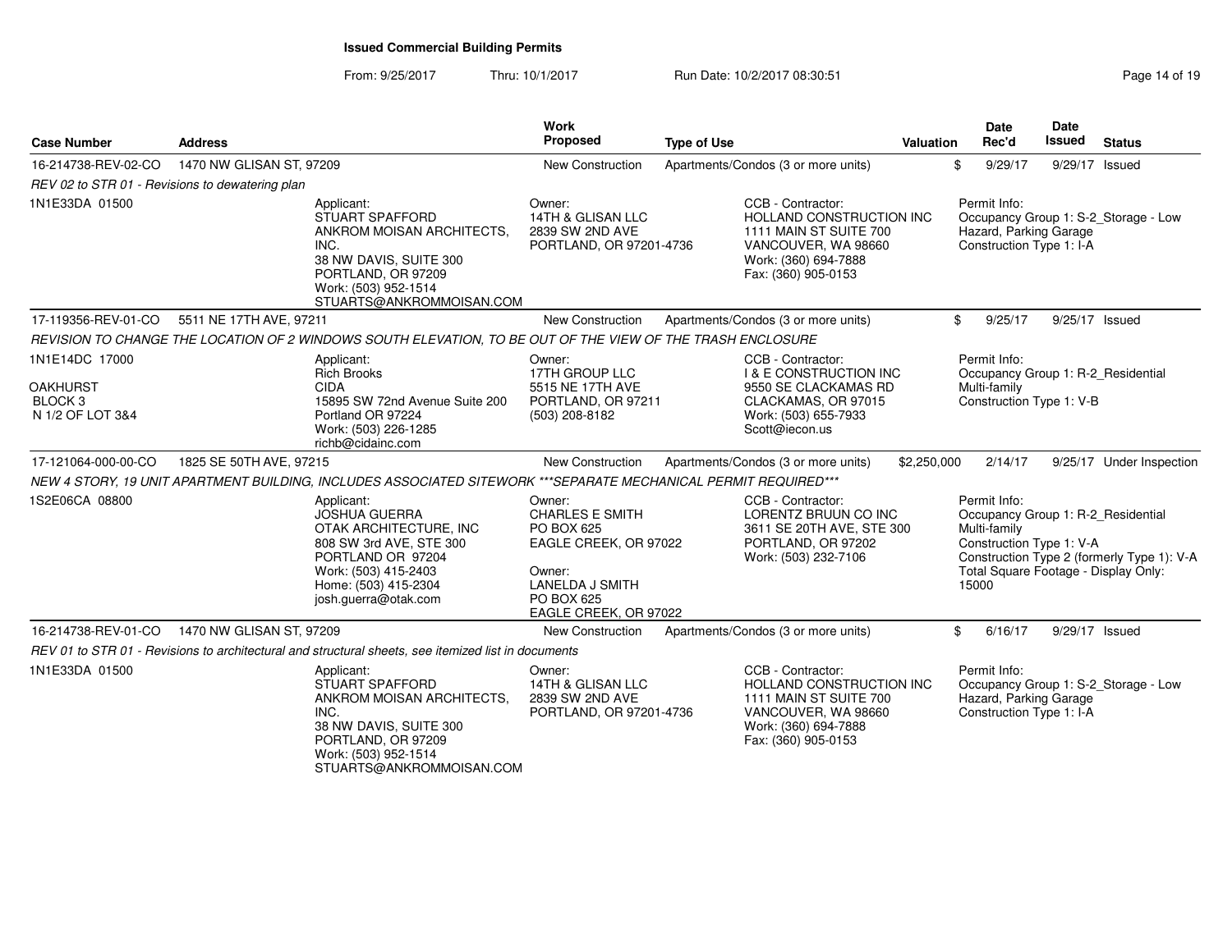From: 9/25/2017Thru: 10/1/2017 **Run Date: 10/2/2017 08:30:51 Run** Date: 10/2/2017 08:30:51

| <b>Case Number</b>                                                          | <b>Address</b>                                                                                                                                                                       | <b>Work</b><br>Proposed                                                                                                                            | <b>Type of Use</b>                                                                                                                              | Valuation   | <b>Date</b><br>Rec'd                                                                                                                            | Date<br><b>Issued</b> | <b>Status</b>                              |
|-----------------------------------------------------------------------------|--------------------------------------------------------------------------------------------------------------------------------------------------------------------------------------|----------------------------------------------------------------------------------------------------------------------------------------------------|-------------------------------------------------------------------------------------------------------------------------------------------------|-------------|-------------------------------------------------------------------------------------------------------------------------------------------------|-----------------------|--------------------------------------------|
| 16-214738-REV-02-CO                                                         | 1470 NW GLISAN ST, 97209                                                                                                                                                             | New Construction                                                                                                                                   | Apartments/Condos (3 or more units)                                                                                                             | \$          | 9/29/17                                                                                                                                         | 9/29/17 Issued        |                                            |
| REV 02 to STR 01 - Revisions to dewatering plan                             |                                                                                                                                                                                      |                                                                                                                                                    |                                                                                                                                                 |             |                                                                                                                                                 |                       |                                            |
| 1N1E33DA 01500                                                              | Applicant:<br><b>STUART SPAFFORD</b><br>ANKROM MOISAN ARCHITECTS,<br>INC.<br>38 NW DAVIS, SUITE 300<br>PORTLAND, OR 97209<br>Work: (503) 952-1514<br>STUARTS@ANKROMMOISAN.COM        | Owner:<br>14TH & GLISAN LLC<br>2839 SW 2ND AVE<br>PORTLAND, OR 97201-4736                                                                          | CCB - Contractor:<br>HOLLAND CONSTRUCTION INC<br>1111 MAIN ST SUITE 700<br>VANCOUVER, WA 98660<br>Work: (360) 694-7888<br>Fax: (360) 905-0153   |             | Permit Info:<br>Hazard, Parking Garage<br>Construction Type 1: I-A                                                                              |                       | Occupancy Group 1: S-2_Storage - Low       |
| 17-119356-REV-01-CO                                                         | 5511 NE 17TH AVE, 97211                                                                                                                                                              | <b>New Construction</b>                                                                                                                            | Apartments/Condos (3 or more units)                                                                                                             | \$          | 9/25/17                                                                                                                                         | 9/25/17 Issued        |                                            |
|                                                                             | REVISION TO CHANGE THE LOCATION OF 2 WINDOWS SOUTH ELEVATION, TO BE OUT OF THE VIEW OF THE TRASH ENCLOSURE                                                                           |                                                                                                                                                    |                                                                                                                                                 |             |                                                                                                                                                 |                       |                                            |
| 1N1E14DC 17000<br><b>OAKHURST</b><br>BLOCK <sub>3</sub><br>N 1/2 OF LOT 3&4 | Applicant:<br><b>Rich Brooks</b><br><b>CIDA</b><br>15895 SW 72nd Avenue Suite 200<br>Portland OR 97224<br>Work: (503) 226-1285<br>richb@cidainc.com                                  | Owner:<br>17TH GROUP LLC<br>5515 NE 17TH AVE<br>PORTLAND, OR 97211<br>(503) 208-8182                                                               | CCB - Contractor:<br><b>I &amp; E CONSTRUCTION INC</b><br>9550 SE CLACKAMAS RD<br>CLACKAMAS, OR 97015<br>Work: (503) 655-7933<br>Scott@iecon.us |             | Permit Info:<br>Occupancy Group 1: R-2 Residential<br>Multi-family<br>Construction Type 1: V-B                                                  |                       |                                            |
| 17-121064-000-00-CO                                                         | 1825 SE 50TH AVE, 97215                                                                                                                                                              | New Construction                                                                                                                                   | Apartments/Condos (3 or more units)                                                                                                             | \$2,250,000 | 2/14/17                                                                                                                                         |                       | 9/25/17 Under Inspection                   |
|                                                                             | NEW 4 STORY. 19 UNIT APARTMENT BUILDING. INCLUDES ASSOCIATED SITEWORK ***SEPARATE MECHANICAL PERMIT REQUIRED***                                                                      |                                                                                                                                                    |                                                                                                                                                 |             |                                                                                                                                                 |                       |                                            |
| 1S2E06CA 08800                                                              | Applicant:<br><b>JOSHUA GUERRA</b><br>OTAK ARCHITECTURE, INC<br>808 SW 3rd AVE, STE 300<br>PORTLAND OR 97204<br>Work: (503) 415-2403<br>Home: (503) 415-2304<br>josh.guerra@otak.com | Owner:<br><b>CHARLES E SMITH</b><br>PO BOX 625<br>EAGLE CREEK, OR 97022<br>Owner:<br><b>LANELDA J SMITH</b><br>PO BOX 625<br>EAGLE CREEK, OR 97022 | CCB - Contractor:<br>LORENTZ BRUUN CO INC<br>3611 SE 20TH AVE, STE 300<br>PORTLAND, OR 97202<br>Work: (503) 232-7106                            |             | Permit Info:<br>Occupancy Group 1: R-2_Residential<br>Multi-family<br>Construction Type 1: V-A<br>Total Square Footage - Display Only:<br>15000 |                       | Construction Type 2 (formerly Type 1): V-A |
| 16-214738-REV-01-CO                                                         | 1470 NW GLISAN ST, 97209                                                                                                                                                             | <b>New Construction</b>                                                                                                                            | Apartments/Condos (3 or more units)                                                                                                             | \$          | 6/16/17                                                                                                                                         | 9/29/17 Issued        |                                            |
|                                                                             | REV 01 to STR 01 - Revisions to architectural and structural sheets, see itemized list in documents                                                                                  |                                                                                                                                                    |                                                                                                                                                 |             |                                                                                                                                                 |                       |                                            |
| 1N1E33DA 01500                                                              | Applicant:<br>STUART SPAFFORD<br>ANKROM MOISAN ARCHITECTS.<br>INC.<br>38 NW DAVIS, SUITE 300<br>PORTLAND, OR 97209<br>Work: (503) 952-1514<br>STUARTS@ANKROMMOISAN.COM               | Owner:<br>14TH & GLISAN LLC<br>2839 SW 2ND AVE<br>PORTLAND, OR 97201-4736                                                                          | CCB - Contractor:<br>HOLLAND CONSTRUCTION INC<br>1111 MAIN ST SUITE 700<br>VANCOUVER, WA 98660<br>Work: (360) 694-7888<br>Fax: (360) 905-0153   |             | Permit Info:<br>Hazard, Parking Garage<br>Construction Type 1: I-A                                                                              |                       | Occupancy Group 1: S-2_Storage - Low       |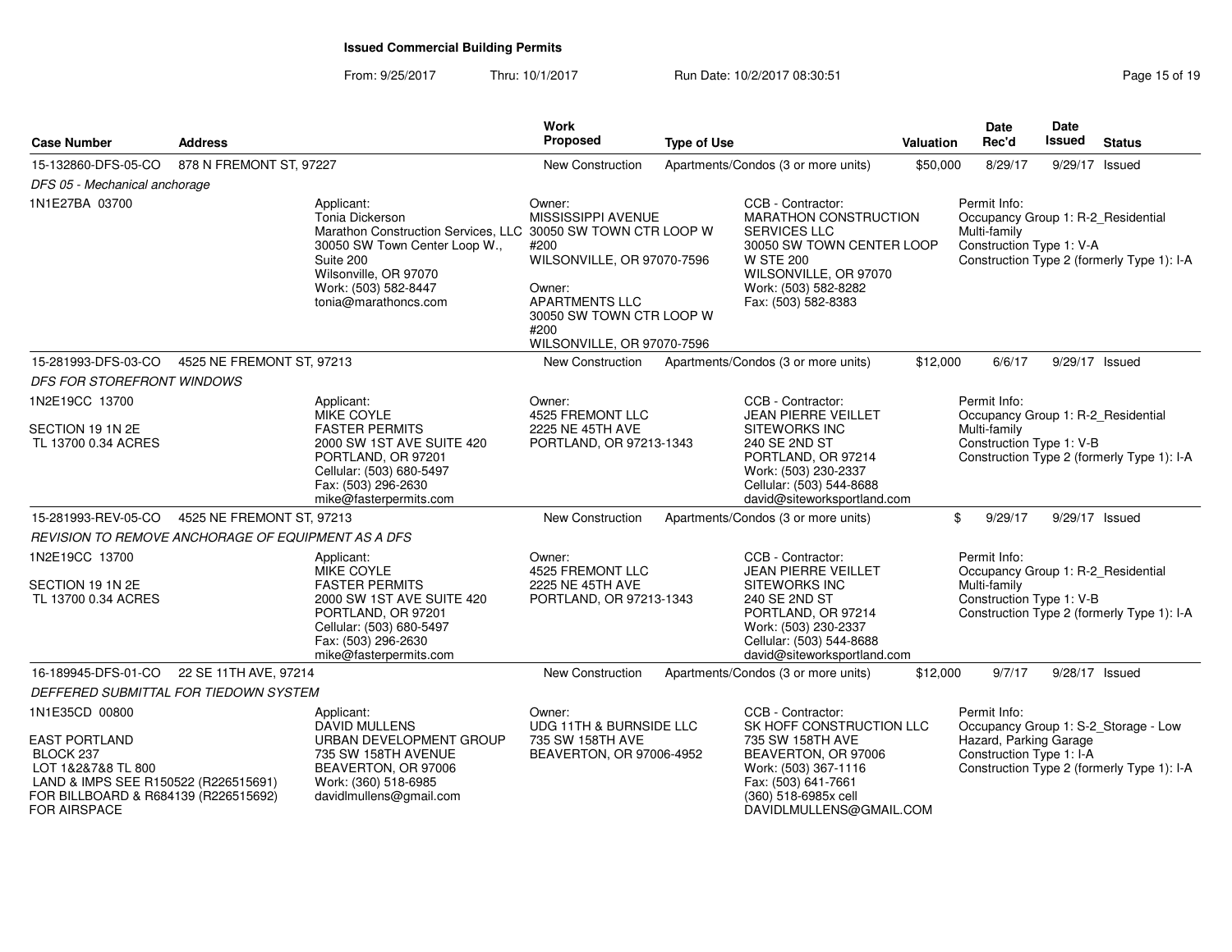From: 9/25/2017Thru: 10/1/2017 **Run Date: 10/2/2017 08:30:51 Run** Date: 10/2/2017 08:30:51

| <b>Case Number</b>                                                                                                                                                               | <b>Address</b>            |                                                                                                                                                                                                                      | <b>Work</b><br><b>Proposed</b>                                                                                                                                          | <b>Type of Use</b> |                                                                                                                                                                                            | Valuation | <b>Date</b><br>Rec'd                                                                           | Date<br><b>Issued</b> | <b>Status</b>                                                                      |
|----------------------------------------------------------------------------------------------------------------------------------------------------------------------------------|---------------------------|----------------------------------------------------------------------------------------------------------------------------------------------------------------------------------------------------------------------|-------------------------------------------------------------------------------------------------------------------------------------------------------------------------|--------------------|--------------------------------------------------------------------------------------------------------------------------------------------------------------------------------------------|-----------|------------------------------------------------------------------------------------------------|-----------------------|------------------------------------------------------------------------------------|
| 15-132860-DFS-05-CO                                                                                                                                                              | 878 N FREMONT ST, 97227   |                                                                                                                                                                                                                      | New Construction                                                                                                                                                        |                    | Apartments/Condos (3 or more units)                                                                                                                                                        | \$50,000  | 8/29/17                                                                                        |                       | 9/29/17 Issued                                                                     |
| DFS 05 - Mechanical anchorage                                                                                                                                                    |                           |                                                                                                                                                                                                                      |                                                                                                                                                                         |                    |                                                                                                                                                                                            |           |                                                                                                |                       |                                                                                    |
| 1N1E27BA 03700                                                                                                                                                                   |                           | Applicant:<br>Tonia Dickerson<br>Marathon Construction Services, LLC 30050 SW TOWN CTR LOOP W<br>30050 SW Town Center Loop W.,<br>Suite 200<br>Wilsonville, OR 97070<br>Work: (503) 582-8447<br>tonia@marathoncs.com | Owner:<br>MISSISSIPPI AVENUE<br>#200<br>WILSONVILLE, OR 97070-7596<br>Owner:<br><b>APARTMENTS LLC</b><br>30050 SW TOWN CTR LOOP W<br>#200<br>WILSONVILLE, OR 97070-7596 |                    | CCB - Contractor:<br>MARATHON CONSTRUCTION<br><b>SERVICES LLC</b><br>30050 SW TOWN CENTER LOOP<br><b>W STE 200</b><br>WILSONVILLE, OR 97070<br>Work: (503) 582-8282<br>Fax: (503) 582-8383 |           | Permit Info:<br>Occupancy Group 1: R-2_Residential<br>Multi-family<br>Construction Type 1: V-A |                       | Construction Type 2 (formerly Type 1): I-A                                         |
| 15-281993-DFS-03-CO                                                                                                                                                              | 4525 NE FREMONT ST, 97213 |                                                                                                                                                                                                                      | New Construction                                                                                                                                                        |                    | Apartments/Condos (3 or more units)                                                                                                                                                        | \$12,000  | 6/6/17                                                                                         |                       | 9/29/17 Issued                                                                     |
| <b>DFS FOR STOREFRONT WINDOWS</b>                                                                                                                                                |                           |                                                                                                                                                                                                                      |                                                                                                                                                                         |                    |                                                                                                                                                                                            |           |                                                                                                |                       |                                                                                    |
| 1N2E19CC 13700                                                                                                                                                                   |                           | Applicant:                                                                                                                                                                                                           | Owner:                                                                                                                                                                  |                    | CCB - Contractor:                                                                                                                                                                          |           | Permit Info:                                                                                   |                       |                                                                                    |
| SECTION 19 1N 2E<br>TL 13700 0.34 ACRES                                                                                                                                          |                           | <b>MIKE COYLE</b><br><b>FASTER PERMITS</b><br>2000 SW 1ST AVE SUITE 420<br>PORTLAND, OR 97201<br>Cellular: (503) 680-5497<br>Fax: (503) 296-2630<br>mike@fasterpermits.com                                           | 4525 FREMONT LLC<br>2225 NE 45TH AVE<br>PORTLAND, OR 97213-1343                                                                                                         |                    | JEAN PIERRE VEILLET<br>SITEWORKS INC<br>240 SE 2ND ST<br>PORTLAND, OR 97214<br>Work: (503) 230-2337<br>Cellular: (503) 544-8688<br>david@siteworksportland.com                             |           | Occupancy Group 1: R-2_Residential<br>Multi-family<br>Construction Type 1: V-B                 |                       | Construction Type 2 (formerly Type 1): I-A                                         |
| 15-281993-REV-05-CO                                                                                                                                                              | 4525 NE FREMONT ST, 97213 |                                                                                                                                                                                                                      | <b>New Construction</b>                                                                                                                                                 |                    | Apartments/Condos (3 or more units)                                                                                                                                                        |           | \$<br>9/29/17                                                                                  |                       | 9/29/17 Issued                                                                     |
| REVISION TO REMOVE ANCHORAGE OF EQUIPMENT AS A DFS                                                                                                                               |                           |                                                                                                                                                                                                                      |                                                                                                                                                                         |                    |                                                                                                                                                                                            |           |                                                                                                |                       |                                                                                    |
| 1N2E19CC 13700<br>SECTION 19 1N 2E<br>TL 13700 0.34 ACRES                                                                                                                        |                           | Applicant:<br>MIKE COYLE<br><b>FASTER PERMITS</b><br>2000 SW 1ST AVE SUITE 420<br>PORTLAND, OR 97201<br>Cellular: (503) 680-5497<br>Fax: (503) 296-2630<br>mike@fasterpermits.com                                    | Owner:<br>4525 FREMONT LLC<br>2225 NE 45TH AVE<br>PORTLAND, OR 97213-1343                                                                                               |                    | CCB - Contractor:<br>JEAN PIERRE VEILLET<br><b>SITEWORKS INC</b><br>240 SE 2ND ST<br>PORTLAND, OR 97214<br>Work: (503) 230-2337<br>Cellular: (503) 544-8688<br>david@siteworksportland.com |           | Permit Info:<br>Occupancy Group 1: R-2_Residential<br>Multi-family<br>Construction Type 1: V-B |                       | Construction Type 2 (formerly Type 1): I-A                                         |
| 16-189945-DFS-01-CO                                                                                                                                                              | 22 SE 11TH AVE, 97214     |                                                                                                                                                                                                                      | New Construction                                                                                                                                                        |                    | Apartments/Condos (3 or more units)                                                                                                                                                        | \$12,000  | 9/7/17                                                                                         |                       | 9/28/17 Issued                                                                     |
| DEFFERED SUBMITTAL FOR TIEDOWN SYSTEM                                                                                                                                            |                           |                                                                                                                                                                                                                      |                                                                                                                                                                         |                    |                                                                                                                                                                                            |           |                                                                                                |                       |                                                                                    |
| 1N1E35CD 00800<br><b>EAST PORTLAND</b><br>BLOCK 237<br>LOT 1&2&7&8 TL 800<br>LAND & IMPS SEE R150522 (R226515691)<br>FOR BILLBOARD & R684139 (R226515692)<br><b>FOR AIRSPACE</b> |                           | Applicant:<br><b>DAVID MULLENS</b><br>URBAN DEVELOPMENT GROUP<br>735 SW 158TH AVENUE<br>BEAVERTON, OR 97006<br>Work: (360) 518-6985<br>davidImullens@gmail.com                                                       | Owner:<br>UDG 11TH & BURNSIDE LLC<br>735 SW 158TH AVE<br>BEAVERTON, OR 97006-4952                                                                                       |                    | CCB - Contractor:<br>SK HOFF CONSTRUCTION LLC<br>735 SW 158TH AVE<br>BEAVERTON, OR 97006<br>Work: (503) 367-1116<br>Fax: (503) 641-7661<br>(360) 518-6985x cell<br>DAVIDLMULLENS@GMAIL.COM |           | Permit Info:<br>Hazard, Parking Garage<br>Construction Type 1: I-A                             |                       | Occupancy Group 1: S-2_Storage - Low<br>Construction Type 2 (formerly Type 1): I-A |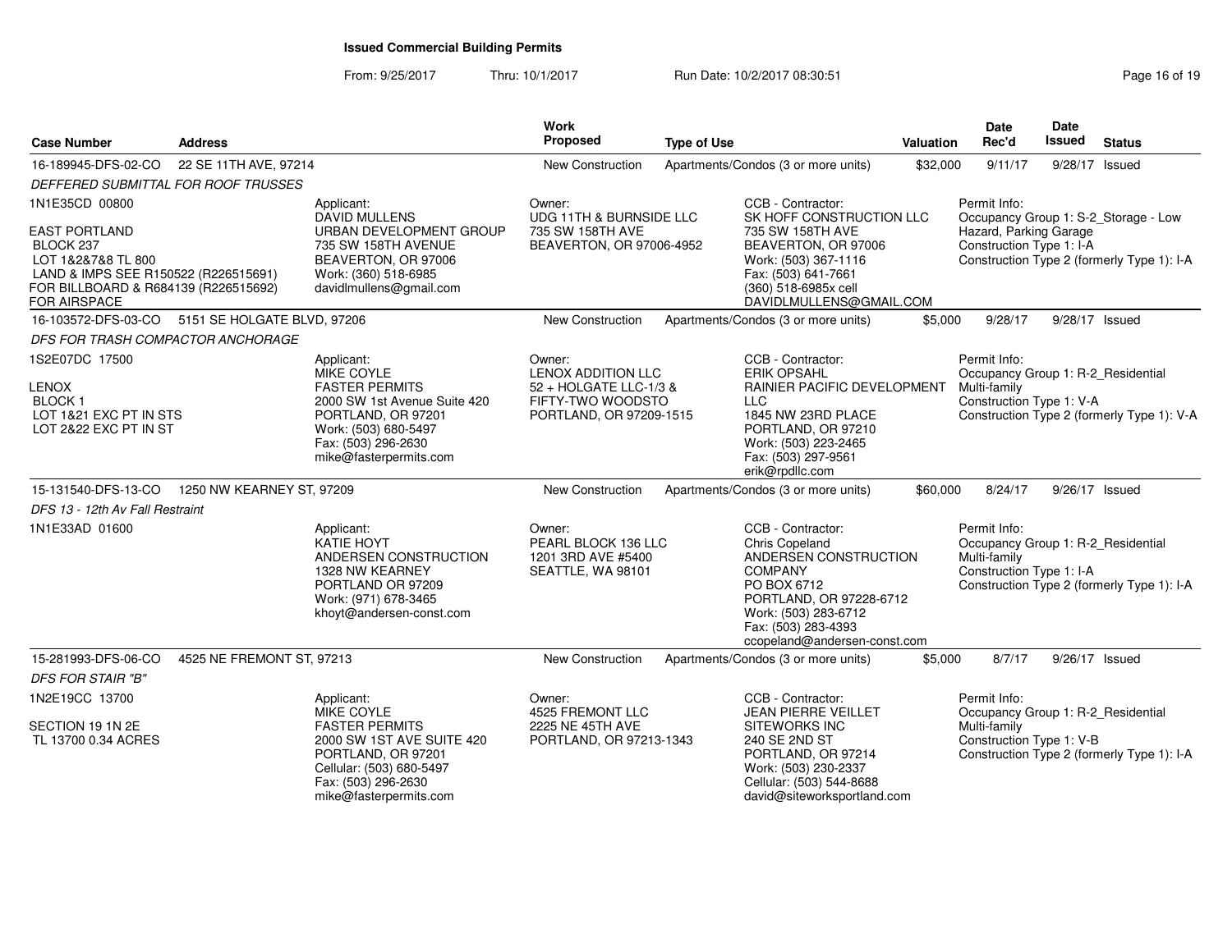From: 9/25/2017Thru: 10/1/2017 **Run Date: 10/2/2017 08:30:51 Research 2018 19** Page 16 of 19

| <b>Case Number</b>                                                                                                                                                               | <b>Address</b>              |                                                                                                                                                                                         | <b>Work</b><br>Proposed                                                                                       | <b>Type of Use</b> |                                                                                                                                                                                                    | Valuation | Date<br>Rec'd                                                                                  | Date<br>Issued | <b>Status</b>                                                                      |
|----------------------------------------------------------------------------------------------------------------------------------------------------------------------------------|-----------------------------|-----------------------------------------------------------------------------------------------------------------------------------------------------------------------------------------|---------------------------------------------------------------------------------------------------------------|--------------------|----------------------------------------------------------------------------------------------------------------------------------------------------------------------------------------------------|-----------|------------------------------------------------------------------------------------------------|----------------|------------------------------------------------------------------------------------|
| 16-189945-DFS-02-CO                                                                                                                                                              | 22 SE 11TH AVE, 97214       |                                                                                                                                                                                         | New Construction                                                                                              |                    | Apartments/Condos (3 or more units)                                                                                                                                                                | \$32,000  | 9/11/17                                                                                        |                | 9/28/17 Issued                                                                     |
| DEFFERED SUBMITTAL FOR ROOF TRUSSES                                                                                                                                              |                             |                                                                                                                                                                                         |                                                                                                               |                    |                                                                                                                                                                                                    |           |                                                                                                |                |                                                                                    |
| 1N1E35CD 00800<br><b>EAST PORTLAND</b><br>BLOCK 237<br>LOT 1&2&7&8 TL 800<br>LAND & IMPS SEE R150522 (R226515691)<br>FOR BILLBOARD & R684139 (R226515692)<br><b>FOR AIRSPACE</b> |                             | Applicant:<br><b>DAVID MULLENS</b><br>URBAN DEVELOPMENT GROUP<br>735 SW 158TH AVENUE<br>BEAVERTON, OR 97006<br>Work: (360) 518-6985<br>davidImullens@gmail.com                          | Owner:<br>UDG 11TH & BURNSIDE LLC<br>735 SW 158TH AVE<br>BEAVERTON, OR 97006-4952                             |                    | CCB - Contractor:<br>SK HOFF CONSTRUCTION LLC<br>735 SW 158TH AVE<br>BEAVERTON, OR 97006<br>Work: (503) 367-1116<br>Fax: (503) 641-7661<br>(360) 518-6985x cell<br>DAVIDLMULLENS@GMAIL.COM         |           | Permit Info:<br>Hazard, Parking Garage<br>Construction Type 1: I-A                             |                | Occupancy Group 1: S-2_Storage - Low<br>Construction Type 2 (formerly Type 1): I-A |
| 16-103572-DFS-03-CO                                                                                                                                                              | 5151 SE HOLGATE BLVD, 97206 |                                                                                                                                                                                         | <b>New Construction</b>                                                                                       |                    | Apartments/Condos (3 or more units)                                                                                                                                                                | \$5,000   | 9/28/17                                                                                        |                | 9/28/17 Issued                                                                     |
| DFS FOR TRASH COMPACTOR ANCHORAGE                                                                                                                                                |                             |                                                                                                                                                                                         |                                                                                                               |                    |                                                                                                                                                                                                    |           |                                                                                                |                |                                                                                    |
| 1S2E07DC 17500<br><b>LENOX</b><br><b>BLOCK1</b><br>LOT 1&21 EXC PT IN STS<br>LOT 2&22 EXC PT IN ST                                                                               |                             | Applicant:<br><b>MIKE COYLE</b><br><b>FASTER PERMITS</b><br>2000 SW 1st Avenue Suite 420<br>PORTLAND, OR 97201<br>Work: (503) 680-5497<br>Fax: (503) 296-2630<br>mike@fasterpermits.com | Owner:<br><b>LENOX ADDITION LLC</b><br>52 + HOLGATE LLC-1/3 &<br>FIFTY-TWO WOODSTO<br>PORTLAND, OR 97209-1515 |                    | CCB - Contractor:<br><b>ERIK OPSAHL</b><br>RAINIER PACIFIC DEVELOPMENT<br><b>LLC</b><br>1845 NW 23RD PLACE<br>PORTLAND, OR 97210<br>Work: (503) 223-2465<br>Fax: (503) 297-9561<br>erik@rpdllc.com |           | Permit Info:<br>Occupancy Group 1: R-2_Residential<br>Multi-family<br>Construction Type 1: V-A |                | Construction Type 2 (formerly Type 1): V-A                                         |
| 15-131540-DFS-13-CO                                                                                                                                                              | 1250 NW KEARNEY ST, 97209   |                                                                                                                                                                                         | <b>New Construction</b>                                                                                       |                    | Apartments/Condos (3 or more units)                                                                                                                                                                | \$60,000  | 8/24/17                                                                                        |                | 9/26/17 Issued                                                                     |
| DFS 13 - 12th Av Fall Restraint                                                                                                                                                  |                             |                                                                                                                                                                                         |                                                                                                               |                    |                                                                                                                                                                                                    |           |                                                                                                |                |                                                                                    |
| 1N1E33AD 01600                                                                                                                                                                   |                             | Applicant:<br>KATIE HOYT<br>ANDERSEN CONSTRUCTION<br>1328 NW KEARNEY<br>PORTLAND OR 97209<br>Work: (971) 678-3465<br>khoyt@andersen-const.com                                           | Owner:<br>PEARL BLOCK 136 LLC<br>1201 3RD AVE #5400<br>SEATTLE, WA 98101                                      |                    | CCB - Contractor:<br>Chris Copeland<br>ANDERSEN CONSTRUCTION<br>COMPANY<br>PO BOX 6712<br>PORTLAND, OR 97228-6712<br>Work: (503) 283-6712<br>Fax: (503) 283-4393<br>ccopeland@andersen-const.com   |           | Permit Info:<br>Occupancy Group 1: R-2_Residential<br>Multi-family<br>Construction Type 1: I-A |                | Construction Type 2 (formerly Type 1): I-A                                         |
| 15-281993-DFS-06-CO                                                                                                                                                              | 4525 NE FREMONT ST, 97213   |                                                                                                                                                                                         | New Construction                                                                                              |                    | Apartments/Condos (3 or more units)                                                                                                                                                                | \$5,000   | 8/7/17                                                                                         |                | 9/26/17 Issued                                                                     |
| <b>DFS FOR STAIR "B"</b>                                                                                                                                                         |                             |                                                                                                                                                                                         |                                                                                                               |                    |                                                                                                                                                                                                    |           |                                                                                                |                |                                                                                    |
| 1N2E19CC 13700                                                                                                                                                                   |                             | Applicant:<br><b>MIKE COYLE</b>                                                                                                                                                         | Owner:<br>4525 FREMONT LLC                                                                                    |                    | CCB - Contractor:<br><b>JEAN PIERRE VEILLET</b>                                                                                                                                                    |           | Permit Info:<br>Occupancy Group 1: R-2_Residential                                             |                |                                                                                    |
| SECTION 19 1N 2E<br>TL 13700 0.34 ACRES                                                                                                                                          |                             | <b>FASTER PERMITS</b><br>2000 SW 1ST AVE SUITE 420<br>PORTLAND, OR 97201<br>Cellular: (503) 680-5497<br>Fax: (503) 296-2630<br>mike@fasterpermits.com                                   | 2225 NE 45TH AVE<br>PORTLAND, OR 97213-1343                                                                   |                    | <b>SITEWORKS INC</b><br>240 SE 2ND ST<br>PORTLAND, OR 97214<br>Work: (503) 230-2337<br>Cellular: (503) 544-8688<br>david@siteworksportland.com                                                     |           | Multi-family<br>Construction Type 1: V-B                                                       |                | Construction Type 2 (formerly Type 1): I-A                                         |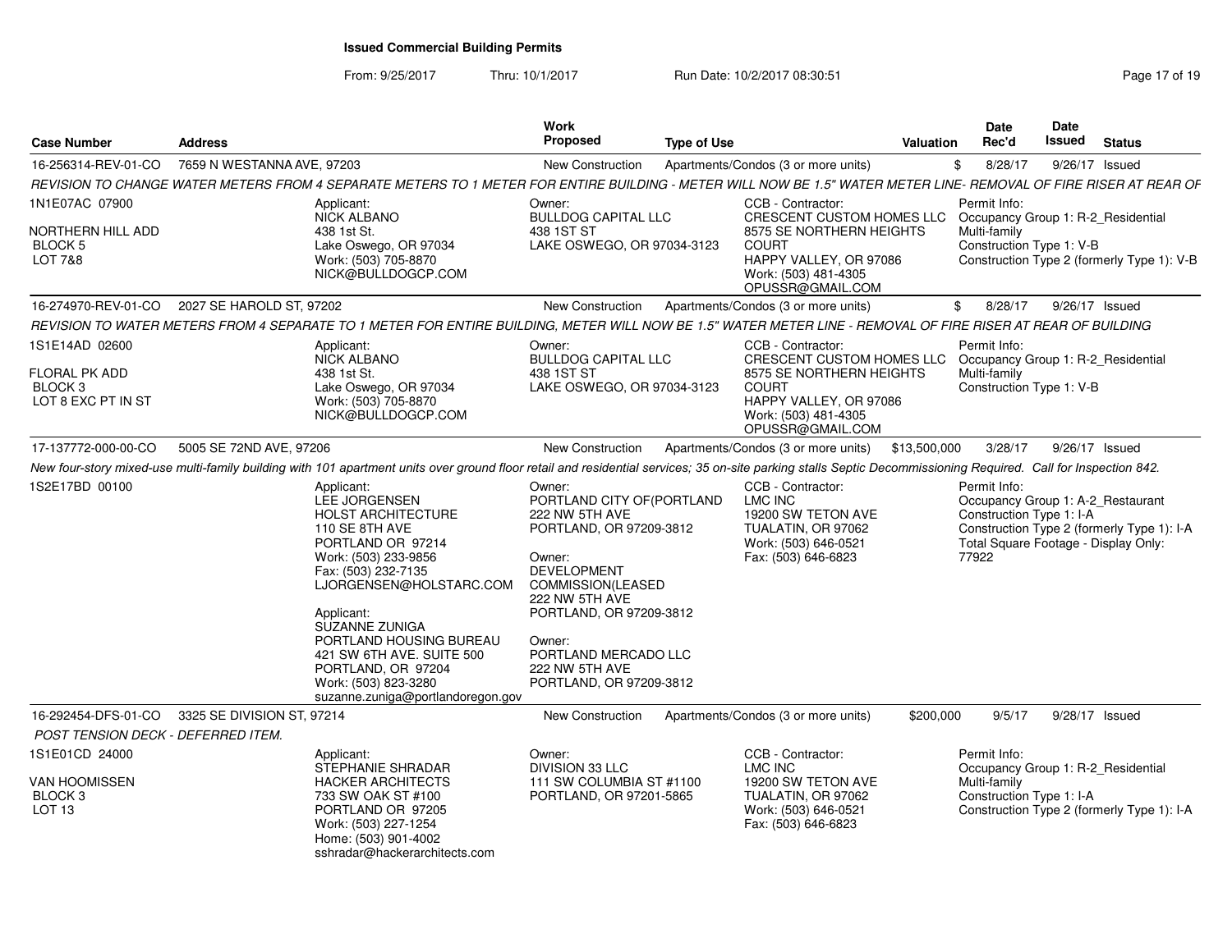From: 9/25/2017Thru: 10/1/2017 **Run Date: 10/2/2017 08:30:51 Run** Date: 10/2/2017 08:30:51

| <b>Case Number</b>                                                                 | <b>Address</b>             |                                                                                                                                                                                                                                                                                                                                                             | Work<br>Proposed                                                                                                                                                                                                                                                   | <b>Type of Use</b> |                                                                                                                                                                  | <b>Valuation</b> | <b>Date</b><br>Rec'd                                                                                                           | Date<br><b>Issued</b> | <b>Status</b>                              |
|------------------------------------------------------------------------------------|----------------------------|-------------------------------------------------------------------------------------------------------------------------------------------------------------------------------------------------------------------------------------------------------------------------------------------------------------------------------------------------------------|--------------------------------------------------------------------------------------------------------------------------------------------------------------------------------------------------------------------------------------------------------------------|--------------------|------------------------------------------------------------------------------------------------------------------------------------------------------------------|------------------|--------------------------------------------------------------------------------------------------------------------------------|-----------------------|--------------------------------------------|
| 16-256314-REV-01-CO                                                                | 7659 N WESTANNA AVE, 97203 |                                                                                                                                                                                                                                                                                                                                                             | New Construction                                                                                                                                                                                                                                                   |                    | Apartments/Condos (3 or more units)                                                                                                                              | \$               | 8/28/17                                                                                                                        | 9/26/17 Issued        |                                            |
|                                                                                    |                            | REVISION TO CHANGE WATER METERS FROM 4 SEPARATE METERS TO 1 METER FOR ENTIRE BUILDING - METER WILL NOW BE 1.5" WATER METER LINE- REMOVAL OF FIRE RISER AT REAR OF                                                                                                                                                                                           |                                                                                                                                                                                                                                                                    |                    |                                                                                                                                                                  |                  |                                                                                                                                |                       |                                            |
| 1N1E07AC 07900<br>NORTHERN HILL ADD<br><b>BLOCK 5</b><br>LOT 7&8                   |                            | Applicant:<br><b>NICK ALBANO</b><br>438 1st St.<br>Lake Oswego, OR 97034<br>Work: (503) 705-8870<br>NICK@BULLDOGCP.COM                                                                                                                                                                                                                                      | Owner:<br><b>BULLDOG CAPITAL LLC</b><br>438 1ST ST<br>LAKE OSWEGO, OR 97034-3123                                                                                                                                                                                   |                    | CCB - Contractor:<br>CRESCENT CUSTOM HOMES LLC<br>8575 SE NORTHERN HEIGHTS<br><b>COURT</b><br>HAPPY VALLEY, OR 97086<br>Work: (503) 481-4305<br>OPUSSR@GMAIL.COM |                  | Permit Info:<br>Occupancy Group 1: R-2_Residential<br>Multi-family<br>Construction Type 1: V-B                                 |                       | Construction Type 2 (formerly Type 1): V-B |
| 16-274970-REV-01-CO 2027 SE HAROLD ST, 97202                                       |                            |                                                                                                                                                                                                                                                                                                                                                             | <b>New Construction</b>                                                                                                                                                                                                                                            |                    | Apartments/Condos (3 or more units)                                                                                                                              | \$               | 8/28/17                                                                                                                        | 9/26/17 Issued        |                                            |
|                                                                                    |                            | REVISION TO WATER METERS FROM 4 SEPARATE TO 1 METER FOR ENTIRE BUILDING, METER WILL NOW BE 1.5" WATER METER LINE - REMOVAL OF FIRE RISER AT REAR OF BUILDING                                                                                                                                                                                                |                                                                                                                                                                                                                                                                    |                    |                                                                                                                                                                  |                  |                                                                                                                                |                       |                                            |
| 1S1E14AD 02600<br><b>FLORAL PK ADD</b><br>BLOCK <sub>3</sub><br>LOT 8 EXC PT IN ST |                            | Applicant:<br><b>NICK ALBANO</b><br>438 1st St.<br>Lake Oswego, OR 97034<br>Work: (503) 705-8870<br>NICK@BULLDOGCP.COM                                                                                                                                                                                                                                      | Owner:<br><b>BULLDOG CAPITAL LLC</b><br>438 1ST ST<br>LAKE OSWEGO, OR 97034-3123                                                                                                                                                                                   |                    | CCB - Contractor:<br>CRESCENT CUSTOM HOMES LLC<br>8575 SE NORTHERN HEIGHTS<br><b>COURT</b><br>HAPPY VALLEY, OR 97086<br>Work: (503) 481-4305<br>OPUSSR@GMAIL.COM |                  | Permit Info:<br>Occupancy Group 1: R-2_Residential<br>Multi-family<br>Construction Type 1: V-B                                 |                       |                                            |
| 17-137772-000-00-CO                                                                | 5005 SE 72ND AVE, 97206    |                                                                                                                                                                                                                                                                                                                                                             | <b>New Construction</b>                                                                                                                                                                                                                                            |                    | Apartments/Condos (3 or more units)                                                                                                                              | \$13,500,000     | 3/28/17                                                                                                                        | 9/26/17 Issued        |                                            |
|                                                                                    |                            | New four-story mixed-use multi-family building with 101 apartment units over ground floor retail and residential services; 35 on-site parking stalls Septic Decommissioning Required. Call for Inspection 842.                                                                                                                                              |                                                                                                                                                                                                                                                                    |                    |                                                                                                                                                                  |                  |                                                                                                                                |                       |                                            |
| 1S2E17BD 00100                                                                     |                            | Applicant:<br>LEE JORGENSEN<br><b>HOLST ARCHITECTURE</b><br>110 SE 8TH AVE<br>PORTLAND OR 97214<br>Work: (503) 233-9856<br>Fax: (503) 232-7135<br>LJORGENSEN@HOLSTARC.COM<br>Applicant:<br><b>SUZANNE ZUNIGA</b><br>PORTLAND HOUSING BUREAU<br>421 SW 6TH AVE, SUITE 500<br>PORTLAND, OR 97204<br>Work: (503) 823-3280<br>suzanne.zuniga@portlandoregon.gov | Owner:<br>PORTLAND CITY OF (PORTLAND<br>222 NW 5TH AVE<br>PORTLAND, OR 97209-3812<br>Owner:<br><b>DEVELOPMENT</b><br>COMMISSION(LEASED<br>222 NW 5TH AVE<br>PORTLAND, OR 97209-3812<br>Owner:<br>PORTLAND MERCADO LLC<br>222 NW 5TH AVE<br>PORTLAND, OR 97209-3812 |                    | CCB - Contractor:<br>LMC INC<br>19200 SW TETON AVE<br>TUALATIN, OR 97062<br>Work: (503) 646-0521<br>Fax: (503) 646-6823                                          |                  | Permit Info:<br>Occupancy Group 1: A-2_Restaurant<br>Construction Type 1: I-A<br>Total Square Footage - Display Only:<br>77922 |                       | Construction Type 2 (formerly Type 1): I-A |
| 16-292454-DFS-01-CO                                                                | 3325 SE DIVISION ST, 97214 |                                                                                                                                                                                                                                                                                                                                                             | <b>New Construction</b>                                                                                                                                                                                                                                            |                    | Apartments/Condos (3 or more units)                                                                                                                              | \$200,000        | 9/5/17                                                                                                                         |                       | 9/28/17 Issued                             |
| POST TENSION DECK - DEFERRED ITEM.                                                 |                            |                                                                                                                                                                                                                                                                                                                                                             |                                                                                                                                                                                                                                                                    |                    |                                                                                                                                                                  |                  |                                                                                                                                |                       |                                            |
| 1S1E01CD 24000<br>VAN HOOMISSEN<br>BLOCK <sub>3</sub><br>LOT <sub>13</sub>         |                            | Applicant:<br><b>STEPHANIE SHRADAR</b><br><b>HACKER ARCHITECTS</b><br>733 SW OAK ST #100<br>PORTLAND OR 97205<br>Work: (503) 227-1254<br>Home: (503) 901-4002<br>sshradar@hackerarchitects.com                                                                                                                                                              | Owner:<br><b>DIVISION 33 LLC</b><br>111 SW COLUMBIA ST #1100<br>PORTLAND, OR 97201-5865                                                                                                                                                                            |                    | CCB - Contractor:<br>LMC INC<br>19200 SW TETON AVE<br>TUALATIN, OR 97062<br>Work: (503) 646-0521<br>Fax: (503) 646-6823                                          |                  | Permit Info:<br>Occupancy Group 1: R-2 Residential<br>Multi-family<br>Construction Type 1: I-A                                 |                       | Construction Type 2 (formerly Type 1): I-A |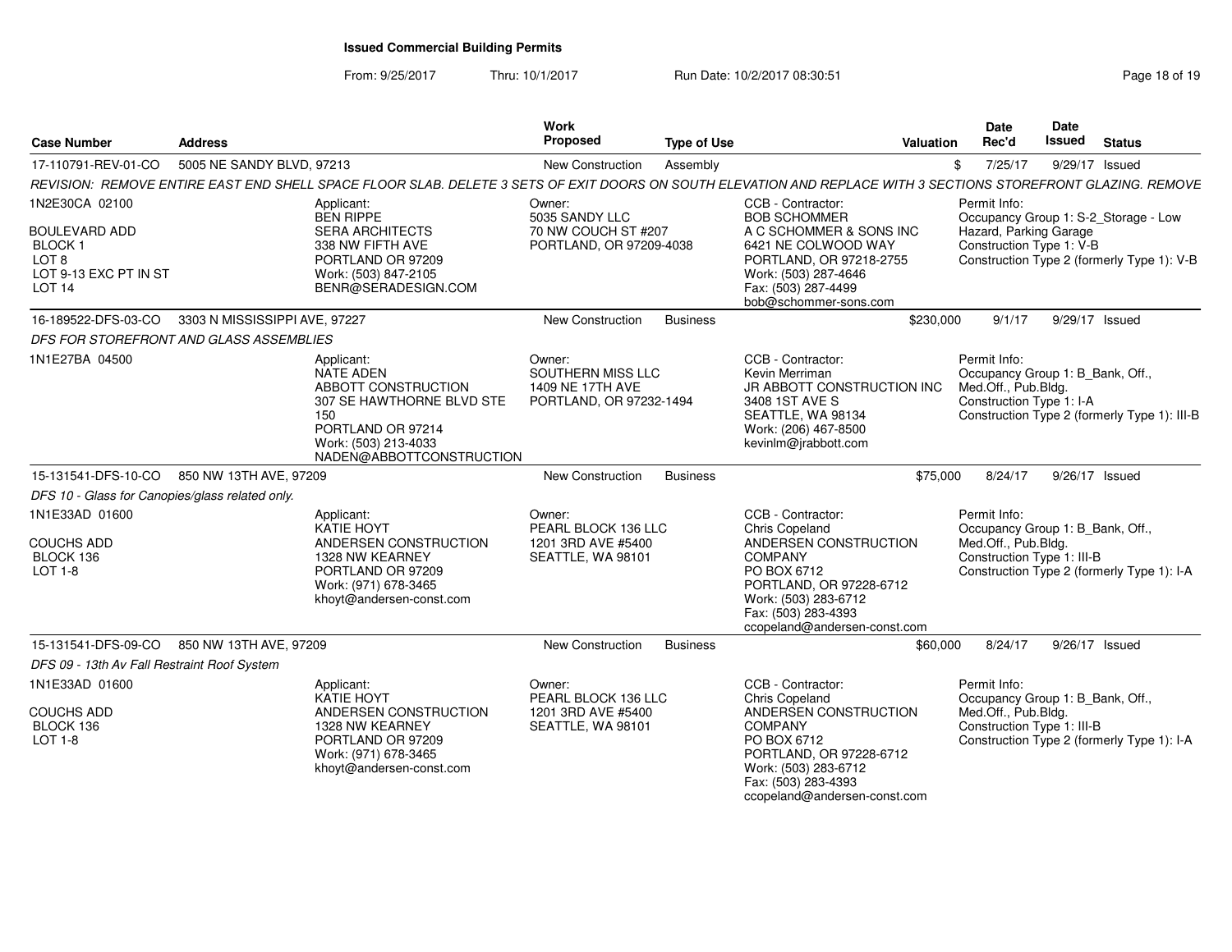From: 9/25/2017Thru: 10/1/2017 **Run Date: 10/2/2017 08:30:51 Research 2018 0f 19** Page 18 of 19

| <b>Case Number</b>                                                                                                  | <b>Address</b>                |                                                                                                                                                                | <b>Work</b><br><b>Proposed</b>                                             | <b>Type of Use</b> |                                                                                                                                                                                                         | Valuation | Date<br>Rec'd                                                                                         | Date<br>Issued | <b>Status</b>                                                                      |
|---------------------------------------------------------------------------------------------------------------------|-------------------------------|----------------------------------------------------------------------------------------------------------------------------------------------------------------|----------------------------------------------------------------------------|--------------------|---------------------------------------------------------------------------------------------------------------------------------------------------------------------------------------------------------|-----------|-------------------------------------------------------------------------------------------------------|----------------|------------------------------------------------------------------------------------|
| 17-110791-REV-01-CO                                                                                                 | 5005 NE SANDY BLVD, 97213     |                                                                                                                                                                | New Construction                                                           | Assembly           |                                                                                                                                                                                                         | \$        | 7/25/17                                                                                               | 9/29/17 Issued |                                                                                    |
|                                                                                                                     |                               | REVISION: REMOVE ENTIRE EAST END SHELL SPACE FLOOR SLAB. DELETE 3 SETS OF EXIT DOORS ON SOUTH ELEVATION AND REPLACE WITH 3 SECTIONS STOREFRONT GLAZING. REMOVE |                                                                            |                    |                                                                                                                                                                                                         |           |                                                                                                       |                |                                                                                    |
| 1N2E30CA 02100<br><b>BOULEVARD ADD</b><br>BLOCK 1<br>LOT <sub>8</sub><br>LOT 9-13 EXC PT IN ST<br>LOT <sub>14</sub> |                               | Applicant:<br><b>BEN RIPPE</b><br><b>SERA ARCHITECTS</b><br>338 NW FIFTH AVE<br>PORTLAND OR 97209<br>Work: (503) 847-2105<br>BENR@SERADESIGN.COM               | Owner:<br>5035 SANDY LLC<br>70 NW COUCH ST #207<br>PORTLAND, OR 97209-4038 |                    | CCB - Contractor:<br><b>BOB SCHOMMER</b><br>A C SCHOMMER & SONS INC<br>6421 NE COLWOOD WAY<br>PORTLAND, OR 97218-2755<br>Work: (503) 287-4646<br>Fax: (503) 287-4499<br>bob@schommer-sons.com           |           | Permit Info:<br>Hazard, Parking Garage<br>Construction Type 1: V-B                                    |                | Occupancy Group 1: S-2_Storage - Low<br>Construction Type 2 (formerly Type 1): V-B |
| 16-189522-DFS-03-CO                                                                                                 | 3303 N MISSISSIPPI AVE, 97227 |                                                                                                                                                                | <b>New Construction</b>                                                    | <b>Business</b>    |                                                                                                                                                                                                         | \$230,000 | 9/1/17                                                                                                | 9/29/17 Issued |                                                                                    |
| DFS FOR STOREFRONT AND GLASS ASSEMBLIES                                                                             |                               |                                                                                                                                                                |                                                                            |                    |                                                                                                                                                                                                         |           |                                                                                                       |                |                                                                                    |
| 1N1E27BA 04500                                                                                                      |                               | Applicant:<br>NATE ADEN<br>ABBOTT CONSTRUCTION<br>307 SE HAWTHORNE BLVD STE<br>150<br>PORTLAND OR 97214<br>Work: (503) 213-4033<br>NADEN@ABBOTTCONSTRUCTION    | Owner:<br>SOUTHERN MISS LLC<br>1409 NE 17TH AVE<br>PORTLAND, OR 97232-1494 |                    | CCB - Contractor:<br>Kevin Merriman<br>JR ABBOTT CONSTRUCTION INC<br>3408 1ST AVE S<br>SEATTLE, WA 98134<br>Work: (206) 467-8500<br>kevinlm@jrabbott.com                                                |           | Permit Info:<br>Occupancy Group 1: B_Bank, Off.,<br>Med.Off., Pub.Bldg.<br>Construction Type 1: I-A   |                | Construction Type 2 (formerly Type 1): III-B                                       |
| 15-131541-DFS-10-CO                                                                                                 | 850 NW 13TH AVE, 97209        |                                                                                                                                                                | <b>New Construction</b>                                                    | <b>Business</b>    |                                                                                                                                                                                                         | \$75,000  | 8/24/17                                                                                               | 9/26/17 Issued |                                                                                    |
| DFS 10 - Glass for Canopies/glass related only.                                                                     |                               |                                                                                                                                                                |                                                                            |                    |                                                                                                                                                                                                         |           |                                                                                                       |                |                                                                                    |
| 1N1E33AD 01600<br><b>COUCHS ADD</b><br>BLOCK 136<br>LOT 1-8                                                         |                               | Applicant:<br><b>KATIE HOYT</b><br>ANDERSEN CONSTRUCTION<br>1328 NW KEARNEY<br>PORTLAND OR 97209<br>Work: (971) 678-3465<br>khoyt@andersen-const.com           | Owner:<br>PEARL BLOCK 136 LLC<br>1201 3RD AVE #5400<br>SEATTLE, WA 98101   |                    | CCB - Contractor:<br>Chris Copeland<br>ANDERSEN CONSTRUCTION<br><b>COMPANY</b><br>PO BOX 6712<br>PORTLAND, OR 97228-6712<br>Work: (503) 283-6712<br>Fax: (503) 283-4393<br>ccopeland@andersen-const.com |           | Permit Info:<br>Occupancy Group 1: B_Bank, Off.,<br>Med.Off., Pub.Bldg.<br>Construction Type 1: III-B |                | Construction Type 2 (formerly Type 1): I-A                                         |
| 15-131541-DFS-09-CO                                                                                                 | 850 NW 13TH AVE, 97209        |                                                                                                                                                                | <b>New Construction</b>                                                    | <b>Business</b>    |                                                                                                                                                                                                         | \$60,000  | 8/24/17                                                                                               | 9/26/17 Issued |                                                                                    |
| DFS 09 - 13th Av Fall Restraint Roof System                                                                         |                               |                                                                                                                                                                |                                                                            |                    |                                                                                                                                                                                                         |           |                                                                                                       |                |                                                                                    |
| 1N1E33AD 01600<br><b>COUCHS ADD</b><br>BLOCK 136<br><b>LOT 1-8</b>                                                  |                               | Applicant:<br>KATIE HOYT<br>ANDERSEN CONSTRUCTION<br>1328 NW KEARNEY<br>PORTLAND OR 97209<br>Work: (971) 678-3465<br>khoyt@andersen-const.com                  | Owner:<br>PEARL BLOCK 136 LLC<br>1201 3RD AVE #5400<br>SEATTLE, WA 98101   |                    | CCB - Contractor:<br>Chris Copeland<br>ANDERSEN CONSTRUCTION<br><b>COMPANY</b><br>PO BOX 6712<br>PORTLAND, OR 97228-6712<br>Work: (503) 283-6712<br>Fax: (503) 283-4393<br>ccopeland@andersen-const.com |           | Permit Info:<br>Occupancy Group 1: B_Bank, Off.,<br>Med.Off., Pub.Bldg.<br>Construction Type 1: III-B |                | Construction Type 2 (formerly Type 1): I-A                                         |